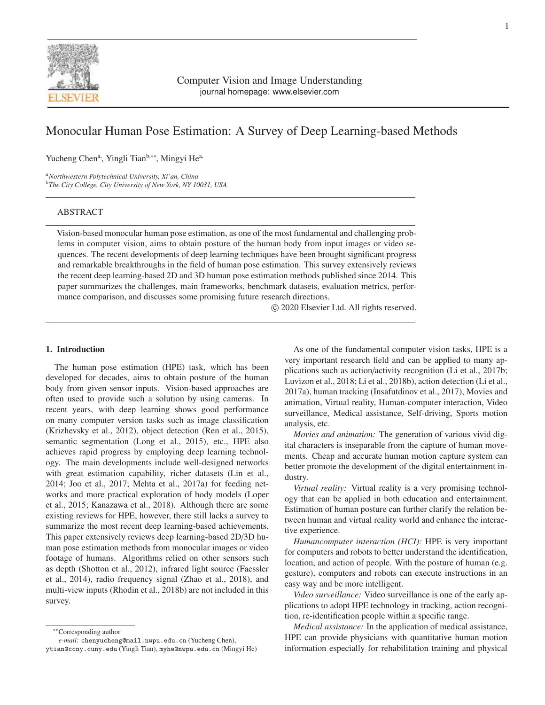

Computer Vision and Image Understanding journal homepage: www.elsevier.com

# Monocular Human Pose Estimation: A Survey of Deep Learning-based Methods

Yucheng Chen<sup>a</sup>, Yingli Tian<sup>b,∗∗</sup>, Mingyi He<sup>a,</sup>

*aNorthwestern Polytechnical University, Xi'an, China bThe City College, City University of New York, NY 10031, USA*

# ABSTRACT

Vision-based monocular human pose estimation, as one of the most fundamental and challenging problems in computer vision, aims to obtain posture of the human body from input images or video sequences. The recent developments of deep learning techniques have been brought significant progress and remarkable breakthroughs in the field of human pose estimation. This survey extensively reviews the recent deep learning-based 2D and 3D human pose estimation methods published since 2014. This paper summarizes the challenges, main frameworks, benchmark datasets, evaluation metrics, performance comparison, and discusses some promising future research directions.

c 2020 Elsevier Ltd. All rights reserved.

#### 1. Introduction

The human pose estimation (HPE) task, which has been developed for decades, aims to obtain posture of the human body from given sensor inputs. Vision-based approaches are often used to provide such a solution by using cameras. In recent years, with deep learning shows good performance on many computer version tasks such as image classification (Krizhevsky et al., 2012), object detection (Ren et al., 2015), semantic segmentation (Long et al., 2015), etc., HPE also achieves rapid progress by employing deep learning technology. The main developments include well-designed networks with great estimation capability, richer datasets (Lin et al., 2014; Joo et al., 2017; Mehta et al., 2017a) for feeding networks and more practical exploration of body models (Loper et al., 2015; Kanazawa et al., 2018). Although there are some existing reviews for HPE, however, there still lacks a survey to summarize the most recent deep learning-based achievements. This paper extensively reviews deep learning-based 2D/3D human pose estimation methods from monocular images or video footage of humans. Algorithms relied on other sensors such as depth (Shotton et al., 2012), infrared light source (Faessler et al., 2014), radio frequency signal (Zhao et al., 2018), and multi-view inputs (Rhodin et al., 2018b) are not included in this survey.

∗∗Corresponding author

*e-mail:* chenyucheng@mail.nwpu.edu.cn (Yucheng Chen),

ytian@ccny.cuny.edu (Yingli Tian), myhe@nwpu.edu.cn (Mingyi He)

As one of the fundamental computer vision tasks, HPE is a very important research field and can be applied to many applications such as action/activity recognition (Li et al., 2017b; Luvizon et al., 2018; Li et al., 2018b), action detection (Li et al., 2017a), human tracking (Insafutdinov et al., 2017), Movies and animation, Virtual reality, Human-computer interaction, Video surveillance, Medical assistance, Self-driving, Sports motion analysis, etc.

*Movies and animation:* The generation of various vivid digital characters is inseparable from the capture of human movements. Cheap and accurate human motion capture system can better promote the development of the digital entertainment industry.

*Virtual reality:* Virtual reality is a very promising technology that can be applied in both education and entertainment. Estimation of human posture can further clarify the relation between human and virtual reality world and enhance the interactive experience.

*Humancomputer interaction (HCI):* HPE is very important for computers and robots to better understand the identification, location, and action of people. With the posture of human (e.g. gesture), computers and robots can execute instructions in an easy way and be more intelligent.

*Video surveillance:* Video surveillance is one of the early applications to adopt HPE technology in tracking, action recognition, re-identification people within a specific range.

*Medical assistance:* In the application of medical assistance, HPE can provide physicians with quantitative human motion information especially for rehabilitation training and physical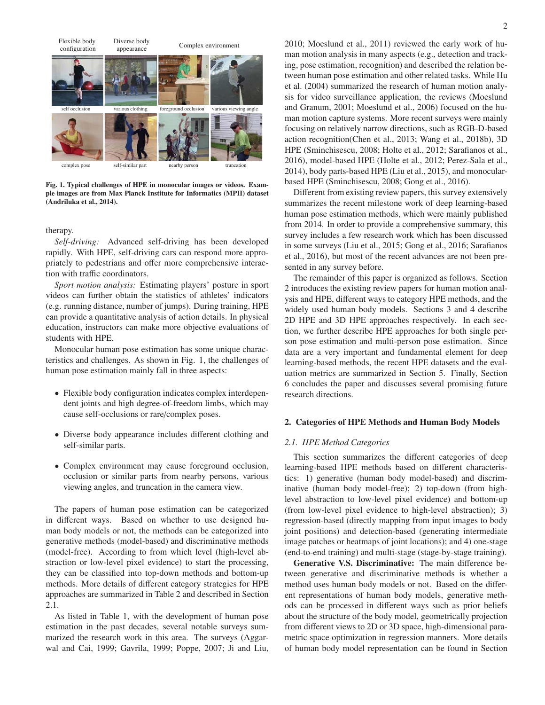

Fig. 1. Typical challenges of HPE in monocular images or videos. Example images are from Max Planck Institute for Informatics (MPII) dataset (Andriluka et al., 2014).

therapy.

*Self-driving:* Advanced self-driving has been developed rapidly. With HPE, self-driving cars can respond more appropriately to pedestrians and offer more comprehensive interaction with traffic coordinators.

*Sport motion analysis:* Estimating players' posture in sport videos can further obtain the statistics of athletes' indicators (e.g. running distance, number of jumps). During training, HPE can provide a quantitative analysis of action details. In physical education, instructors can make more objective evaluations of students with HPE.

Monocular human pose estimation has some unique characteristics and challenges. As shown in Fig. 1, the challenges of human pose estimation mainly fall in three aspects:

- Flexible body configuration indicates complex interdependent joints and high degree-of-freedom limbs, which may cause self-occlusions or rare/complex poses.
- Diverse body appearance includes different clothing and self-similar parts.
- Complex environment may cause foreground occlusion, occlusion or similar parts from nearby persons, various viewing angles, and truncation in the camera view.

The papers of human pose estimation can be categorized in different ways. Based on whether to use designed human body models or not, the methods can be categorized into generative methods (model-based) and discriminative methods (model-free). According to from which level (high-level abstraction or low-level pixel evidence) to start the processing, they can be classified into top-down methods and bottom-up methods. More details of different category strategies for HPE approaches are summarized in Table 2 and described in Section 2.1.

As listed in Table 1, with the development of human pose estimation in the past decades, several notable surveys summarized the research work in this area. The surveys (Aggarwal and Cai, 1999; Gavrila, 1999; Poppe, 2007; Ji and Liu, 2010; Moeslund et al., 2011) reviewed the early work of human motion analysis in many aspects (e.g., detection and tracking, pose estimation, recognition) and described the relation between human pose estimation and other related tasks. While Hu et al. (2004) summarized the research of human motion analysis for video surveillance application, the reviews (Moeslund and Granum, 2001; Moeslund et al., 2006) focused on the human motion capture systems. More recent surveys were mainly focusing on relatively narrow directions, such as RGB-D-based action recognition(Chen et al., 2013; Wang et al., 2018b), 3D HPE (Sminchisescu, 2008; Holte et al., 2012; Sarafianos et al., 2016), model-based HPE (Holte et al., 2012; Perez-Sala et al., 2014), body parts-based HPE (Liu et al., 2015), and monocularbased HPE (Sminchisescu, 2008; Gong et al., 2016).

Different from existing review papers, this survey extensively summarizes the recent milestone work of deep learning-based human pose estimation methods, which were mainly published from 2014. In order to provide a comprehensive summary, this survey includes a few research work which has been discussed in some surveys (Liu et al., 2015; Gong et al., 2016; Sarafianos et al., 2016), but most of the recent advances are not been presented in any survey before.

The remainder of this paper is organized as follows. Section 2 introduces the existing review papers for human motion analysis and HPE, different ways to category HPE methods, and the widely used human body models. Sections 3 and 4 describe 2D HPE and 3D HPE approaches respectively. In each section, we further describe HPE approaches for both single person pose estimation and multi-person pose estimation. Since data are a very important and fundamental element for deep learning-based methods, the recent HPE datasets and the evaluation metrics are summarized in Section 5. Finally, Section 6 concludes the paper and discusses several promising future research directions.

#### 2. Categories of HPE Methods and Human Body Models

# *2.1. HPE Method Categories*

This section summarizes the different categories of deep learning-based HPE methods based on different characteristics: 1) generative (human body model-based) and discriminative (human body model-free); 2) top-down (from highlevel abstraction to low-level pixel evidence) and bottom-up (from low-level pixel evidence to high-level abstraction); 3) regression-based (directly mapping from input images to body joint positions) and detection-based (generating intermediate image patches or heatmaps of joint locations); and 4) one-stage (end-to-end training) and multi-stage (stage-by-stage training).

Generative V.S. Discriminative: The main difference between generative and discriminative methods is whether a method uses human body models or not. Based on the different representations of human body models, generative methods can be processed in different ways such as prior beliefs about the structure of the body model, geometrically projection from different views to 2D or 3D space, high-dimensional parametric space optimization in regression manners. More details of human body model representation can be found in Section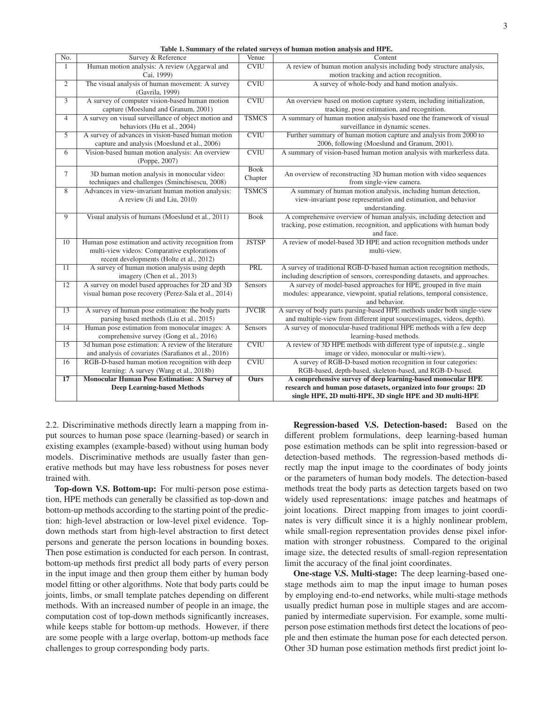|  | Table 1. Summary of the related surveys of human motion analysis and HPE. |  |
|--|---------------------------------------------------------------------------|--|
|  |                                                                           |  |

| No.             | Survey & Reference                                                                                | Venue                    | Content                                                                                                                                                      |
|-----------------|---------------------------------------------------------------------------------------------------|--------------------------|--------------------------------------------------------------------------------------------------------------------------------------------------------------|
| $\mathbf{1}$    | Human motion analysis: A review (Aggarwal and                                                     | <b>CVIU</b>              | A review of human motion analysis including body structure analysis,                                                                                         |
|                 | Cai, 1999)                                                                                        |                          | motion tracking and action recognition.                                                                                                                      |
| $\overline{2}$  | The visual analysis of human movement: A survey<br>(Gavrila, 1999)                                | CVIU                     | A survey of whole-body and hand motion analysis.                                                                                                             |
| $\overline{3}$  | A survey of computer vision-based human motion                                                    | $\overline{\text{CVIU}}$ | An overview based on motion capture system, including initialization,                                                                                        |
|                 | capture (Moeslund and Granum, 2001)                                                               |                          | tracking, pose estimation, and recognition.                                                                                                                  |
| $\overline{4}$  | A survey on visual surveillance of object motion and                                              | <b>TSMCS</b>             | A summary of human motion analysis based one the framework of visual                                                                                         |
|                 | behaviors (Hu et al., 2004)                                                                       |                          | surveillance in dynamic scenes.                                                                                                                              |
| $\overline{5}$  | A survey of advances in vision-based human motion<br>capture and analysis (Moeslund et al., 2006) | CVIU                     | Further summary of human motion capture and analysis from 2000 to<br>2006, following (Moeslund and Granum, 2001).                                            |
| 6               | Vision-based human motion analysis: An overview<br>(Poppe, 2007)                                  | <b>CVIU</b>              | A summary of vision-based human motion analysis with markerless data.                                                                                        |
| 7               | 3D human motion analysis in monocular video:<br>techniques and challenges (Sminchisescu, 2008)    | <b>Book</b><br>Chapter   | An overview of reconstructing 3D human motion with video sequences<br>from single-view camera.                                                               |
| 8               | Advances in view-invariant human motion analysis:<br>A review (Ji and Liu, 2010)                  | <b>TSMCS</b>             | A summary of human motion analysis, including human detection,<br>view-invariant pose representation and estimation, and behavior<br>understanding.          |
| $\overline{9}$  | Visual analysis of humans (Moeslund et al., 2011)                                                 | <b>Book</b>              | A comprehensive overview of human analysis, including detection and<br>tracking, pose estimation, recognition, and applications with human body<br>and face. |
| 10              | Human pose estimation and activity recognition from                                               | <b>JSTSP</b>             | A review of model-based 3D HPE and action recognition methods under                                                                                          |
|                 | multi-view videos: Comparative explorations of                                                    |                          | multi-view.                                                                                                                                                  |
|                 | recent developments (Holte et al., 2012)                                                          |                          |                                                                                                                                                              |
| 11              | A survey of human motion analysis using depth                                                     | <b>PRL</b>               | A survey of traditional RGB-D-based human action recognition methods,                                                                                        |
|                 | imagery (Chen et al., 2013)                                                                       |                          | including description of sensors, corresponding datasets, and approaches.                                                                                    |
| $\overline{12}$ | A survey on model based approaches for 2D and 3D                                                  | Sensors                  | A survey of model-based approaches for HPE, grouped in five main                                                                                             |
|                 | visual human pose recovery (Perez-Sala et al., 2014)                                              |                          | modules: appearance, viewpoint, spatial relations, temporal consistence,<br>and behavior.                                                                    |
| $\overline{13}$ | A survey of human pose estimation: the body parts                                                 | <b>JVCIR</b>             | A survey of body parts parsing-based HPE methods under both single-view                                                                                      |
|                 | parsing based methods (Liu et al., 2015)                                                          |                          | and multiple-view from different input sources (images, videos, depth).                                                                                      |
| $\overline{14}$ | Human pose estimation from monocular images: A                                                    | <b>Sensors</b>           | A survey of monocular-based traditional HPE methods with a few deep                                                                                          |
|                 | comprehensive survey (Gong et al., 2016)                                                          |                          | learning-based methods.                                                                                                                                      |
| $\overline{15}$ | 3d human pose estimation: A review of the literature                                              | $\overline{\text{CVIU}}$ | A review of 3D HPE methods with different type of inputs(e.g., single                                                                                        |
| 16              | and analysis of covariates (Sarafianos et al., 2016)                                              | <b>CVIU</b>              | image or video, monocular or multi-view).                                                                                                                    |
|                 | RGB-D-based human motion recognition with deep<br>learning: A survey (Wang et al., 2018b)         |                          | A survey of RGB-D-based motion recognition in four categories:<br>RGB-based, depth-based, skeleton-based, and RGB-D-based.                                   |
| $\overline{17}$ | <b>Monocular Human Pose Estimation: A Survey of</b>                                               | <b>Ours</b>              | A comprehensive survey of deep learning-based monocular HPE                                                                                                  |
|                 | <b>Deep Learning-based Methods</b>                                                                |                          | research and human pose datasets, organized into four groups: 2D                                                                                             |
|                 |                                                                                                   |                          | single HPE, 2D multi-HPE, 3D single HPE and 3D multi-HPE                                                                                                     |
|                 |                                                                                                   |                          |                                                                                                                                                              |

2.2. Discriminative methods directly learn a mapping from input sources to human pose space (learning-based) or search in existing examples (example-based) without using human body models. Discriminative methods are usually faster than generative methods but may have less robustness for poses never trained with.

Top-down V.S. Bottom-up: For multi-person pose estimation, HPE methods can generally be classified as top-down and bottom-up methods according to the starting point of the prediction: high-level abstraction or low-level pixel evidence. Topdown methods start from high-level abstraction to first detect persons and generate the person locations in bounding boxes. Then pose estimation is conducted for each person. In contrast, bottom-up methods first predict all body parts of every person in the input image and then group them either by human body model fitting or other algorithms. Note that body parts could be joints, limbs, or small template patches depending on different methods. With an increased number of people in an image, the computation cost of top-down methods significantly increases, while keeps stable for bottom-up methods. However, if there are some people with a large overlap, bottom-up methods face challenges to group corresponding body parts.

Regression-based V.S. Detection-based: Based on the different problem formulations, deep learning-based human pose estimation methods can be split into regression-based or detection-based methods. The regression-based methods directly map the input image to the coordinates of body joints or the parameters of human body models. The detection-based methods treat the body parts as detection targets based on two widely used representations: image patches and heatmaps of joint locations. Direct mapping from images to joint coordinates is very difficult since it is a highly nonlinear problem, while small-region representation provides dense pixel information with stronger robustness. Compared to the original image size, the detected results of small-region representation limit the accuracy of the final joint coordinates.

One-stage V.S. Multi-stage: The deep learning-based onestage methods aim to map the input image to human poses by employing end-to-end networks, while multi-stage methods usually predict human pose in multiple stages and are accompanied by intermediate supervision. For example, some multiperson pose estimation methods first detect the locations of people and then estimate the human pose for each detected person. Other 3D human pose estimation methods first predict joint lo-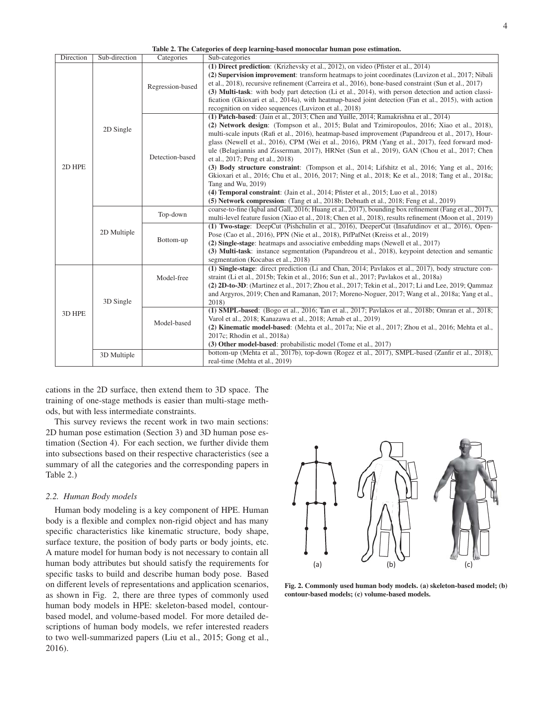| Direction | Sub-direction | Categories       | Sub-categories                                                                                                                                                                                                       |
|-----------|---------------|------------------|----------------------------------------------------------------------------------------------------------------------------------------------------------------------------------------------------------------------|
|           |               |                  | (1) Direct prediction: (Krizhevsky et al., 2012), on video (Pfister et al., 2014)                                                                                                                                    |
|           |               |                  | (2) Supervision improvement: transform heatmaps to joint coordinates (Luvizon et al., 2017; Nibali                                                                                                                   |
|           |               | Regression-based | et al., 2018), recursive refinement (Carreira et al., 2016), bone-based constraint (Sun et al., 2017)                                                                                                                |
|           |               |                  | (3) Multi-task: with body part detection (Li et al., 2014), with person detection and action classi-                                                                                                                 |
|           |               |                  | fication (Gkioxari et al., 2014a), with heatmap-based joint detection (Fan et al., 2015), with action                                                                                                                |
|           |               |                  | recognition on video sequences (Luvizon et al., 2018)                                                                                                                                                                |
|           |               |                  | (1) Patch-based: (Jain et al., 2013; Chen and Yuille, 2014; Ramakrishna et al., 2014)                                                                                                                                |
|           | 2D Single     |                  | (2) Network design: (Tompson et al., 2015; Bulat and Tzimiropoulos, 2016; Xiao et al., 2018),                                                                                                                        |
|           |               |                  | multi-scale inputs (Rafi et al., 2016), heatmap-based improvement (Papandreou et al., 2017), Hour-                                                                                                                   |
|           |               |                  | glass (Newell et al., 2016), CPM (Wei et al., 2016), PRM (Yang et al., 2017), feed forward mod-                                                                                                                      |
|           |               | Detection-based  | ule (Belagiannis and Zisserman, 2017), HRNet (Sun et al., 2019), GAN (Chou et al., 2017; Chen                                                                                                                        |
|           |               |                  | et al., 2017; Peng et al., 2018)                                                                                                                                                                                     |
| 2D HPE    |               |                  | (3) Body structure constraint: (Tompson et al., 2014; Lifshitz et al., 2016; Yang et al., 2016;                                                                                                                      |
|           |               |                  | Gkioxari et al., 2016; Chu et al., 2016, 2017; Ning et al., 2018; Ke et al., 2018; Tang et al., 2018a;                                                                                                               |
|           |               |                  | Tang and Wu, 2019)                                                                                                                                                                                                   |
|           |               |                  | (4) Temporal constraint: (Jain et al., 2014; Pfister et al., 2015; Luo et al., 2018)                                                                                                                                 |
|           |               |                  | (5) Network compression: (Tang et al., 2018b; Debnath et al., 2018; Feng et al., 2019)                                                                                                                               |
|           |               | Top-down         | coarse-to-fine (Iqbal and Gall, 2016; Huang et al., 2017), bounding box refinement (Fang et al., 2017),<br>multi-level feature fusion (Xiao et al., 2018; Chen et al., 2018), results refinement (Moon et al., 2019) |
|           |               |                  | (1) Two-stage: DeepCut (Pishchulin et al., 2016), DeeperCut (Insafutdinov et al., 2016), Open-                                                                                                                       |
|           | 2D Multiple   |                  | Pose (Cao et al., 2016), PPN (Nie et al., 2018), PifPafNet (Kreiss et al., 2019)                                                                                                                                     |
|           |               | Bottom-up        | (2) Single-stage: heatmaps and associative embedding maps (Newell et al., 2017)                                                                                                                                      |
|           |               |                  | (3) Multi-task: instance segmentation (Papandreou et al., 2018), keypoint detection and semantic                                                                                                                     |
|           |               |                  | segmentation (Kocabas et al., 2018)                                                                                                                                                                                  |
|           |               |                  | (1) Single-stage: direct prediction (Li and Chan, 2014; Pavlakos et al., 2017), body structure con-                                                                                                                  |
|           |               | Model-free       | straint (Li et al., 2015b; Tekin et al., 2016; Sun et al., 2017; Pavlakos et al., 2018a)                                                                                                                             |
|           |               |                  | $(2)$ 2D-to-3D: (Martinez et al., 2017; Zhou et al., 2017; Tekin et al., 2017; Li and Lee, 2019; Qammaz                                                                                                              |
|           |               |                  | and Argyros, 2019; Chen and Ramanan, 2017; Moreno-Noguer, 2017; Wang et al., 2018a; Yang et al.,                                                                                                                     |
|           | 3D Single     |                  | 2018)                                                                                                                                                                                                                |
| 3D HPE    |               |                  | (1) SMPL-based: (Bogo et al., 2016; Tan et al., 2017; Pavlakos et al., 2018b; Omran et al., 2018;                                                                                                                    |
|           |               |                  | Varol et al., 2018; Kanazawa et al., 2018; Arnab et al., 2019)                                                                                                                                                       |
|           |               | Model-based      | (2) Kinematic model-based: (Mehta et al., 2017a; Nie et al., 2017; Zhou et al., 2016; Mehta et al.,                                                                                                                  |
|           |               |                  | 2017c; Rhodin et al., 2018a)                                                                                                                                                                                         |
|           |               |                  | (3) Other model-based: probabilistic model (Tome et al., 2017)                                                                                                                                                       |
|           | 3D Multiple   |                  | bottom-up (Mehta et al., 2017b), top-down (Rogez et al., 2017), SMPL-based (Zanfir et al., 2018),                                                                                                                    |
|           |               |                  | real-time (Mehta et al., 2019)                                                                                                                                                                                       |

Table 2. The Categories of deep learning-based monocular human pose estimation.

cations in the 2D surface, then extend them to 3D space. The training of one-stage methods is easier than multi-stage methods, but with less intermediate constraints.

This survey reviews the recent work in two main sections: 2D human pose estimation (Section 3) and 3D human pose estimation (Section 4). For each section, we further divide them into subsections based on their respective characteristics (see a summary of all the categories and the corresponding papers in Table 2.)

## *2.2. Human Body models*

Human body modeling is a key component of HPE. Human body is a flexible and complex non-rigid object and has many specific characteristics like kinematic structure, body shape, surface texture, the position of body parts or body joints, etc. A mature model for human body is not necessary to contain all human body attributes but should satisfy the requirements for specific tasks to build and describe human body pose. Based on different levels of representations and application scenarios, as shown in Fig. 2, there are three types of commonly used human body models in HPE: skeleton-based model, contourbased model, and volume-based model. For more detailed descriptions of human body models, we refer interested readers to two well-summarized papers (Liu et al., 2015; Gong et al., 2016).



Fig. 2. Commonly used human body models. (a) skeleton-based model; (b) contour-based models; (c) volume-based models.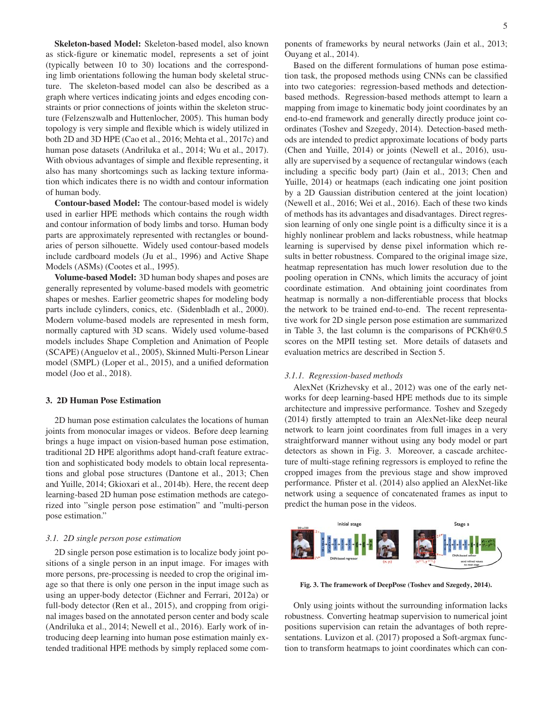Skeleton-based Model: Skeleton-based model, also known as stick-figure or kinematic model, represents a set of joint (typically between 10 to 30) locations and the corresponding limb orientations following the human body skeletal structure. The skeleton-based model can also be described as a graph where vertices indicating joints and edges encoding constraints or prior connections of joints within the skeleton structure (Felzenszwalb and Huttenlocher, 2005). This human body topology is very simple and flexible which is widely utilized in both 2D and 3D HPE (Cao et al., 2016; Mehta et al., 2017c) and human pose datasets (Andriluka et al., 2014; Wu et al., 2017). With obvious advantages of simple and flexible representing, it also has many shortcomings such as lacking texture information which indicates there is no width and contour information of human body.

Contour-based Model: The contour-based model is widely used in earlier HPE methods which contains the rough width and contour information of body limbs and torso. Human body parts are approximately represented with rectangles or boundaries of person silhouette. Widely used contour-based models include cardboard models (Ju et al., 1996) and Active Shape Models (ASMs) (Cootes et al., 1995).

Volume-based Model: 3D human body shapes and poses are generally represented by volume-based models with geometric shapes or meshes. Earlier geometric shapes for modeling body parts include cylinders, conics, etc. (Sidenbladh et al., 2000). Modern volume-based models are represented in mesh form, normally captured with 3D scans. Widely used volume-based models includes Shape Completion and Animation of People (SCAPE) (Anguelov et al., 2005), Skinned Multi-Person Linear model (SMPL) (Loper et al., 2015), and a unified deformation model (Joo et al., 2018).

## 3. 2D Human Pose Estimation

2D human pose estimation calculates the locations of human joints from monocular images or videos. Before deep learning brings a huge impact on vision-based human pose estimation, traditional 2D HPE algorithms adopt hand-craft feature extraction and sophisticated body models to obtain local representations and global pose structures (Dantone et al., 2013; Chen and Yuille, 2014; Gkioxari et al., 2014b). Here, the recent deep learning-based 2D human pose estimation methods are categorized into "single person pose estimation" and "multi-person pose estimation."

## *3.1. 2D single person pose estimation*

2D single person pose estimation is to localize body joint positions of a single person in an input image. For images with more persons, pre-processing is needed to crop the original image so that there is only one person in the input image such as using an upper-body detector (Eichner and Ferrari, 2012a) or full-body detector (Ren et al., 2015), and cropping from original images based on the annotated person center and body scale (Andriluka et al., 2014; Newell et al., 2016). Early work of introducing deep learning into human pose estimation mainly extended traditional HPE methods by simply replaced some components of frameworks by neural networks (Jain et al., 2013; Ouyang et al., 2014).

Based on the different formulations of human pose estimation task, the proposed methods using CNNs can be classified into two categories: regression-based methods and detectionbased methods. Regression-based methods attempt to learn a mapping from image to kinematic body joint coordinates by an end-to-end framework and generally directly produce joint coordinates (Toshev and Szegedy, 2014). Detection-based methods are intended to predict approximate locations of body parts (Chen and Yuille, 2014) or joints (Newell et al., 2016), usually are supervised by a sequence of rectangular windows (each including a specific body part) (Jain et al., 2013; Chen and Yuille, 2014) or heatmaps (each indicating one joint position by a 2D Gaussian distribution centered at the joint location) (Newell et al., 2016; Wei et al., 2016). Each of these two kinds of methods has its advantages and disadvantages. Direct regression learning of only one single point is a difficulty since it is a highly nonlinear problem and lacks robustness, while heatmap learning is supervised by dense pixel information which results in better robustness. Compared to the original image size, heatmap representation has much lower resolution due to the pooling operation in CNNs, which limits the accuracy of joint coordinate estimation. And obtaining joint coordinates from heatmap is normally a non-differentiable process that blocks the network to be trained end-to-end. The recent representative work for 2D single person pose estimation are summarized in Table 3, the last column is the comparisons of PCKh@0.5 scores on the MPII testing set. More details of datasets and evaluation metrics are described in Section 5.

# *3.1.1. Regression-based methods*

AlexNet (Krizhevsky et al., 2012) was one of the early networks for deep learning-based HPE methods due to its simple architecture and impressive performance. Toshev and Szegedy (2014) firstly attempted to train an AlexNet-like deep neural network to learn joint coordinates from full images in a very straightforward manner without using any body model or part detectors as shown in Fig. 3. Moreover, a cascade architecture of multi-stage refining regressors is employed to refine the cropped images from the previous stage and show improved performance. Pfister et al. (2014) also applied an AlexNet-like network using a sequence of concatenated frames as input to predict the human pose in the videos.



Fig. 3. The framework of DeepPose (Toshev and Szegedy, 2014).

Only using joints without the surrounding information lacks robustness. Converting heatmap supervision to numerical joint positions supervision can retain the advantages of both representations. Luvizon et al. (2017) proposed a Soft-argmax function to transform heatmaps to joint coordinates which can con-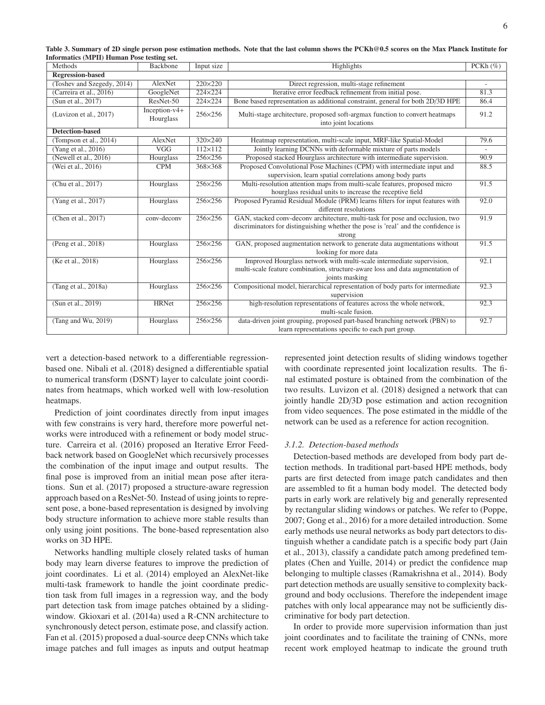Table 3. Summary of 2D single person pose estimation methods. Note that the last column shows the PCKh@0.5 scores on the Max Planck Institute for Informatics (MPII) Human Pose testing set.

| Methods                    | Backbone         | Input size           | Highlights<br>$PCKh (\%)$                                                          |      |
|----------------------------|------------------|----------------------|------------------------------------------------------------------------------------|------|
| <b>Regression-based</b>    |                  |                      |                                                                                    |      |
| (Toshev and Szegedy, 2014) | AlexNet          | 220×220              | Direct regression, multi-stage refinement                                          |      |
| (Carreira et al., 2016)    | GoogleNet        | 224×224              | Iterative error feedback refinement from initial pose.                             |      |
| (Sun et al., 2017)         | ResNet-50        | 224×224              | Bone based representation as additional constraint, general for both 2D/3D HPE     |      |
| (Luvizon et al., 2017)     | Inception- $v4+$ | 256×256              | Multi-stage architecture, proposed soft-argmax function to convert heatmaps        | 91.2 |
|                            | Hourglass        | into joint locations |                                                                                    |      |
| <b>Detection-based</b>     |                  |                      |                                                                                    |      |
| (Tompson et al., 2014)     | AlexNet          | 320×240              | Heatmap representation, multi-scale input, MRF-like Spatial-Model                  | 79.6 |
| (Yang et al., 2016)        | <b>VGG</b>       | $112\times112$       | Jointly learning DCNNs with deformable mixture of parts models                     |      |
| (Newell et al., 2016)      | Hourglass        | 256×256              | Proposed stacked Hourglass architecture with intermediate supervision.             | 90.9 |
| (Wei et al., 2016)         | <b>CPM</b>       | 368×368              | Proposed Convolutional Pose Machines (CPM) with intermediate input and             | 88.5 |
|                            |                  |                      | supervision, learn spatial correlations among body parts                           |      |
| (Chu et al., 2017)         | Hourglass        | 256×256              | Multi-resolution attention maps from multi-scale features, proposed micro          |      |
|                            |                  |                      | hourglass residual units to increase the receptive field                           |      |
| (Yang et al., 2017)        | Hourglass        | 256×256              | Proposed Pyramid Residual Module (PRM) learns filters for input features with      |      |
|                            |                  |                      | different resolutions                                                              |      |
| (Chen et al., 2017)        | conv-deconv      | 256×256              | GAN, stacked conv-deconv architecture, multi-task for pose and occlusion, two      | 91.9 |
|                            |                  |                      | discriminators for distinguishing whether the pose is 'real' and the confidence is |      |
|                            |                  |                      | strong                                                                             |      |
| (Peng et al., 2018)        | Hourglass        | 256×256              | GAN, proposed augmentation network to generate data augmentations without          | 91.5 |
|                            |                  |                      | looking for more data                                                              |      |
| (Ke et al., 2018)          | Hourglass        | 256×256              | Improved Hourglass network with multi-scale intermediate supervision,              | 92.1 |
|                            |                  |                      | multi-scale feature combination, structure-aware loss and data augmentation of     |      |
|                            |                  |                      | joints masking                                                                     | 92.3 |
| (Tang et al., 2018a)       | Hourglass        | 256×256              | Compositional model, hierarchical representation of body parts for intermediate    |      |
|                            |                  |                      | supervision                                                                        |      |
| (Sun et al., 2019)         | <b>HRNet</b>     | 256×256              | high-resolution representations of features across the whole network,              | 92.3 |
|                            |                  |                      | multi-scale fusion.                                                                |      |
| (Tang and Wu, 2019)        | Hourglass        | 256×256              | data-driven joint grouping, proposed part-based branching network (PBN) to         | 92.7 |
|                            |                  |                      | learn representations specific to each part group.                                 |      |

vert a detection-based network to a differentiable regressionbased one. Nibali et al. (2018) designed a differentiable spatial to numerical transform (DSNT) layer to calculate joint coordinates from heatmaps, which worked well with low-resolution heatmaps.

Prediction of joint coordinates directly from input images with few constrains is very hard, therefore more powerful networks were introduced with a refinement or body model structure. Carreira et al. (2016) proposed an Iterative Error Feedback network based on GoogleNet which recursively processes the combination of the input image and output results. The final pose is improved from an initial mean pose after iterations. Sun et al. (2017) proposed a structure-aware regression approach based on a ResNet-50. Instead of using joints to represent pose, a bone-based representation is designed by involving body structure information to achieve more stable results than only using joint positions. The bone-based representation also works on 3D HPE.

Networks handling multiple closely related tasks of human body may learn diverse features to improve the prediction of joint coordinates. Li et al. (2014) employed an AlexNet-like multi-task framework to handle the joint coordinate prediction task from full images in a regression way, and the body part detection task from image patches obtained by a slidingwindow. Gkioxari et al. (2014a) used a R-CNN architecture to synchronously detect person, estimate pose, and classify action. Fan et al. (2015) proposed a dual-source deep CNNs which take image patches and full images as inputs and output heatmap

represented joint detection results of sliding windows together with coordinate represented joint localization results. The final estimated posture is obtained from the combination of the two results. Luvizon et al. (2018) designed a network that can jointly handle 2D/3D pose estimation and action recognition from video sequences. The pose estimated in the middle of the network can be used as a reference for action recognition.

## *3.1.2. Detection-based methods*

Detection-based methods are developed from body part detection methods. In traditional part-based HPE methods, body parts are first detected from image patch candidates and then are assembled to fit a human body model. The detected body parts in early work are relatively big and generally represented by rectangular sliding windows or patches. We refer to (Poppe, 2007; Gong et al., 2016) for a more detailed introduction. Some early methods use neural networks as body part detectors to distinguish whether a candidate patch is a specific body part (Jain et al., 2013), classify a candidate patch among predefined templates (Chen and Yuille, 2014) or predict the confidence map belonging to multiple classes (Ramakrishna et al., 2014). Body part detection methods are usually sensitive to complexity background and body occlusions. Therefore the independent image patches with only local appearance may not be sufficiently discriminative for body part detection.

In order to provide more supervision information than just joint coordinates and to facilitate the training of CNNs, more recent work employed heatmap to indicate the ground truth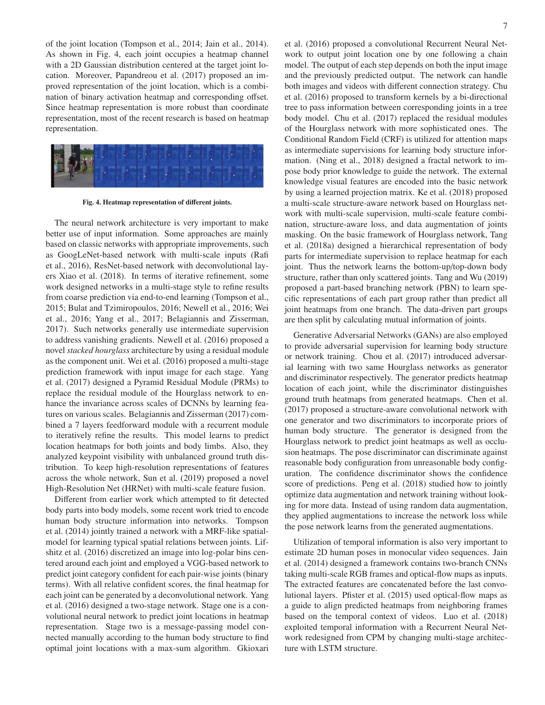of the joint location (Tompson et al., 2014; Jain et al., 2014). As shown in Fig. 4, each joint occupies a heatmap channel with a 2D Gaussian distribution centered at the target joint location. Moreover, Papandreou et al. (2017) proposed an improved representation of the joint location, which is a combination of binary activation heatmap and corresponding offset. Since heatmap representation is more robust than coordinate representation, most of the recent research is based on heatmap representation.



Fig. 4. Heatmap representation of different joints.

The neural network architecture is very important to make better use of input information. Some approaches are mainly based on classic networks with appropriate improvements, such as GoogLeNet-based network with multi-scale inputs (Rafi et al., 2016), ResNet-based network with deconvolutional layers Xiao et al. (2018). In terms of iterative refinement, some work designed networks in a multi-stage style to refine results from coarse prediction via end-to-end learning (Tompson et al., 2015; Bulat and Tzimiropoulos, 2016; Newell et al., 2016; Wei et al., 2016; Yang et al., 2017; Belagiannis and Zisserman, 2017). Such networks generally use intermediate supervision to address vanishing gradients. Newell et al. (2016) proposed a novel *stacked hourglass* architecture by using a residual module as the component unit. Wei et al. (2016) proposed a multi-stage prediction framework with input image for each stage. Yang et al. (2017) designed a Pyramid Residual Module (PRMs) to replace the residual module of the Hourglass network to enhance the invariance across scales of DCNNs by learning features on various scales. Belagiannis and Zisserman (2017) combined a 7 layers feedforward module with a recurrent module to iteratively refine the results. This model learns to predict location heatmaps for both joints and body limbs. Also, they analyzed keypoint visibility with unbalanced ground truth distribution. To keep high-resolution representations of features across the whole network, Sun et al. (2019) proposed a novel High-Resolution Net (HRNet) with multi-scale feature fusion.

Different from earlier work which attempted to fit detected body parts into body models, some recent work tried to encode human body structure information into networks. Tompson et al. (2014) jointly trained a network with a MRF-like spatialmodel for learning typical spatial relations between joints. Lifshitz et al. (2016) discretized an image into log-polar bins centered around each joint and employed a VGG-based network to predict joint category confident for each pair-wise joints (binary terms). With all relative confident scores, the final heatmap for each joint can be generated by a deconvolutional network. Yang et al. (2016) designed a two-stage network. Stage one is a convolutional neural network to predict joint locations in heatmap representation. Stage two is a message-passing model connected manually according to the human body structure to find optimal joint locations with a max-sum algorithm. Gkioxari

et al. (2016) proposed a convolutional Recurrent Neural Network to output joint location one by one following a chain model. The output of each step depends on both the input image and the previously predicted output. The network can handle both images and videos with different connection strategy. Chu et al. (2016) proposed to transform kernels by a bi-directional tree to pass information between corresponding joints in a tree body model. Chu et al. (2017) replaced the residual modules of the Hourglass network with more sophisticated ones. The Conditional Random Field (CRF) is utilized for attention maps as intermediate supervisions for learning body structure information. (Ning et al., 2018) designed a fractal network to impose body prior knowledge to guide the network. The external knowledge visual features are encoded into the basic network by using a learned projection matrix. Ke et al. (2018) proposed a multi-scale structure-aware network based on Hourglass network with multi-scale supervision, multi-scale feature combination, structure-aware loss, and data augmentation of joints masking. On the basic framework of Hourglass network, Tang et al. (2018a) designed a hierarchical representation of body parts for intermediate supervision to replace heatmap for each joint. Thus the network learns the bottom-up/top-down body structure, rather than only scattered joints. Tang and Wu (2019) proposed a part-based branching network (PBN) to learn specific representations of each part group rather than predict all joint heatmaps from one branch. The data-driven part groups are then split by calculating mutual information of joints.

Generative Adversarial Networks (GANs) are also employed to provide adversarial supervision for learning body structure or network training. Chou et al. (2017) introduced adversarial learning with two same Hourglass networks as generator and discriminator respectively. The generator predicts heatmap location of each joint, while the discriminator distinguishes ground truth heatmaps from generated heatmaps. Chen et al. (2017) proposed a structure-aware convolutional network with one generator and two discriminators to incorporate priors of human body structure. The generator is designed from the Hourglass network to predict joint heatmaps as well as occlusion heatmaps. The pose discriminator can discriminate against reasonable body configuration from unreasonable body configuration. The confidence discriminator shows the confidence score of predictions. Peng et al. (2018) studied how to jointly optimize data augmentation and network training without looking for more data. Instead of using random data augmentation, they applied augmentations to increase the network loss while the pose network learns from the generated augmentations.

Utilization of temporal information is also very important to estimate 2D human poses in monocular video sequences. Jain et al. (2014) designed a framework contains two-branch CNNs taking multi-scale RGB frames and optical-flow maps as inputs. The extracted features are concatenated before the last convolutional layers. Pfister et al. (2015) used optical-flow maps as a guide to align predicted heatmaps from neighboring frames based on the temporal context of videos. Luo et al. (2018) exploited temporal information with a Recurrent Neural Network redesigned from CPM by changing multi-stage architecture with LSTM structure.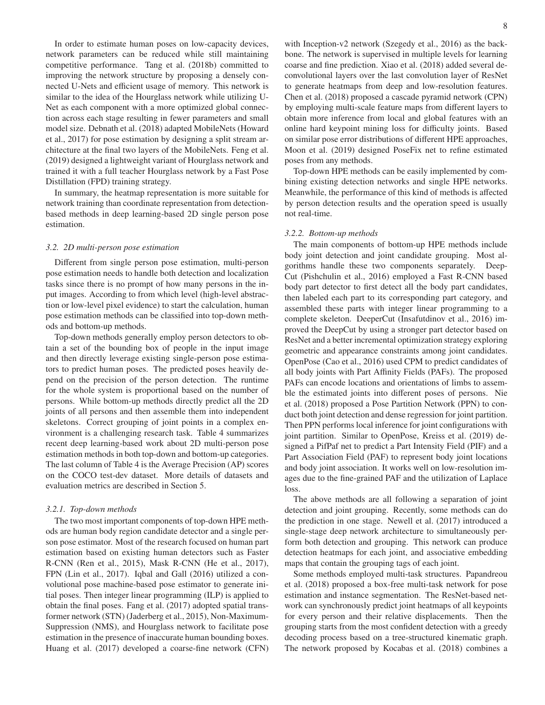In order to estimate human poses on low-capacity devices, network parameters can be reduced while still maintaining competitive performance. Tang et al. (2018b) committed to improving the network structure by proposing a densely connected U-Nets and efficient usage of memory. This network is similar to the idea of the Hourglass network while utilizing U-Net as each component with a more optimized global connection across each stage resulting in fewer parameters and small model size. Debnath et al. (2018) adapted MobileNets (Howard et al., 2017) for pose estimation by designing a split stream architecture at the final two layers of the MobileNets. Feng et al. (2019) designed a lightweight variant of Hourglass network and trained it with a full teacher Hourglass network by a Fast Pose Distillation (FPD) training strategy.

In summary, the heatmap representation is more suitable for network training than coordinate representation from detectionbased methods in deep learning-based 2D single person pose estimation.

## *3.2. 2D multi-person pose estimation*

Different from single person pose estimation, multi-person pose estimation needs to handle both detection and localization tasks since there is no prompt of how many persons in the input images. According to from which level (high-level abstraction or low-level pixel evidence) to start the calculation, human pose estimation methods can be classified into top-down methods and bottom-up methods.

Top-down methods generally employ person detectors to obtain a set of the bounding box of people in the input image and then directly leverage existing single-person pose estimators to predict human poses. The predicted poses heavily depend on the precision of the person detection. The runtime for the whole system is proportional based on the number of persons. While bottom-up methods directly predict all the 2D joints of all persons and then assemble them into independent skeletons. Correct grouping of joint points in a complex environment is a challenging research task. Table 4 summarizes recent deep learning-based work about 2D multi-person pose estimation methods in both top-down and bottom-up categories. The last column of Table 4 is the Average Precision (AP) scores on the COCO test-dev dataset. More details of datasets and evaluation metrics are described in Section 5.

#### *3.2.1. Top-down methods*

The two most important components of top-down HPE methods are human body region candidate detector and a single person pose estimator. Most of the research focused on human part estimation based on existing human detectors such as Faster R-CNN (Ren et al., 2015), Mask R-CNN (He et al., 2017), FPN (Lin et al., 2017). Iqbal and Gall (2016) utilized a convolutional pose machine-based pose estimator to generate initial poses. Then integer linear programming (ILP) is applied to obtain the final poses. Fang et al. (2017) adopted spatial transformer network (STN) (Jaderberg et al., 2015), Non-Maximum-Suppression (NMS), and Hourglass network to facilitate pose estimation in the presence of inaccurate human bounding boxes. Huang et al. (2017) developed a coarse-fine network (CFN)

with Inception-v2 network (Szegedy et al., 2016) as the backbone. The network is supervised in multiple levels for learning coarse and fine prediction. Xiao et al. (2018) added several deconvolutional layers over the last convolution layer of ResNet to generate heatmaps from deep and low-resolution features. Chen et al. (2018) proposed a cascade pyramid network (CPN) by employing multi-scale feature maps from different layers to obtain more inference from local and global features with an online hard keypoint mining loss for difficulty joints. Based on similar pose error distributions of different HPE approaches, Moon et al. (2019) designed PoseFix net to refine estimated poses from any methods.

Top-down HPE methods can be easily implemented by combining existing detection networks and single HPE networks. Meanwhile, the performance of this kind of methods is affected by person detection results and the operation speed is usually not real-time.

#### *3.2.2. Bottom-up methods*

The main components of bottom-up HPE methods include body joint detection and joint candidate grouping. Most algorithms handle these two components separately. Deep-Cut (Pishchulin et al., 2016) employed a Fast R-CNN based body part detector to first detect all the body part candidates, then labeled each part to its corresponding part category, and assembled these parts with integer linear programming to a complete skeleton. DeeperCut (Insafutdinov et al., 2016) improved the DeepCut by using a stronger part detector based on ResNet and a better incremental optimization strategy exploring geometric and appearance constraints among joint candidates. OpenPose (Cao et al., 2016) used CPM to predict candidates of all body joints with Part Affinity Fields (PAFs). The proposed PAFs can encode locations and orientations of limbs to assemble the estimated joints into different poses of persons. Nie et al. (2018) proposed a Pose Partition Network (PPN) to conduct both joint detection and dense regression for joint partition. Then PPN performs local inference for joint configurations with joint partition. Similar to OpenPose, Kreiss et al. (2019) designed a PifPaf net to predict a Part Intensity Field (PIF) and a Part Association Field (PAF) to represent body joint locations and body joint association. It works well on low-resolution images due to the fine-grained PAF and the utilization of Laplace loss.

The above methods are all following a separation of joint detection and joint grouping. Recently, some methods can do the prediction in one stage. Newell et al. (2017) introduced a single-stage deep network architecture to simultaneously perform both detection and grouping. This network can produce detection heatmaps for each joint, and associative embedding maps that contain the grouping tags of each joint.

Some methods employed multi-task structures. Papandreou et al. (2018) proposed a box-free multi-task network for pose estimation and instance segmentation. The ResNet-based network can synchronously predict joint heatmaps of all keypoints for every person and their relative displacements. Then the grouping starts from the most confident detection with a greedy decoding process based on a tree-structured kinematic graph. The network proposed by Kocabas et al. (2018) combines a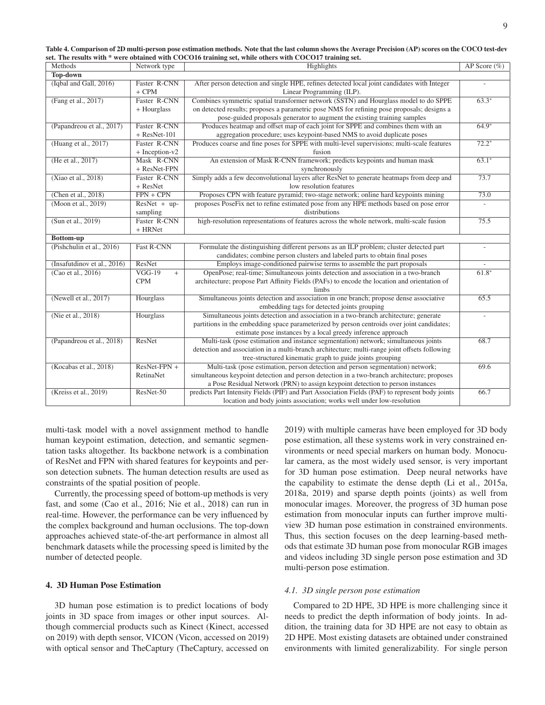| Table 4. Comparison of 2D multi-person pose estimation methods. Note that the last column shows the Average Precision (AP) scores on the COCO test-dev |
|--------------------------------------------------------------------------------------------------------------------------------------------------------|
| set. The results with * were obtained with COCO16 training set, while others with COCO17 training set.                                                 |

| Methods                     | Network type      | AP Score $(\% )$<br>Highlights                                                                  |                |  |  |  |  |
|-----------------------------|-------------------|-------------------------------------------------------------------------------------------------|----------------|--|--|--|--|
| <b>Top-down</b>             |                   |                                                                                                 |                |  |  |  |  |
| (Iqbal and Gall, 2016)      | Faster R-CNN      | After person detection and single HPE, refines detected local joint candidates with Integer     |                |  |  |  |  |
|                             | $+$ CPM           | Linear Programming (ILP).                                                                       |                |  |  |  |  |
| (Fang et al., 2017)         | Faster R-CNN      | Combines symmetric spatial transformer network (SSTN) and Hourglass model to do SPPE            |                |  |  |  |  |
|                             | + Hourglass       | on detected results; proposes a parametric pose NMS for refining pose proposals; designs a      |                |  |  |  |  |
|                             |                   | pose-guided proposals generator to augment the existing training samples                        |                |  |  |  |  |
| (Papandreou et al., 2017)   | Faster R-CNN      | Produces heatmap and offset map of each joint for SPPE and combines them with an                |                |  |  |  |  |
|                             | $+$ ResNet-101    | aggregation procedure; uses keypoint-based NMS to avoid duplicate poses                         |                |  |  |  |  |
| (Huang et al., 2017)        | Faster R-CNN      | Produces coarse and fine poses for SPPE with multi-level supervisions; multi-scale features     | $72.2*$        |  |  |  |  |
|                             | $+$ Inception-v2  | fusion                                                                                          |                |  |  |  |  |
| (He et al., 2017)           | Mask R-CNN        | An extension of Mask R-CNN framework; predicts keypoints and human mask                         | $63.1*$        |  |  |  |  |
|                             | + ResNet-FPN      | synchronously                                                                                   |                |  |  |  |  |
| (Xiao et al., 2018)         | Faster R-CNN      | Simply adds a few deconvolutional layers after ResNet to generate heatmaps from deep and        | 73.7           |  |  |  |  |
|                             | + ResNet          | low resolution features                                                                         |                |  |  |  |  |
| (Chen et al., $2018$ )      | $FPN + CPN$       | Proposes CPN with feature pyramid; two-stage network; online hard keypoints mining              | 73.0           |  |  |  |  |
| (Moon et al., 2019)         | $ResNet + up-$    | proposes PoseFix net to refine estimated pose from any HPE methods based on pose error          |                |  |  |  |  |
|                             | sampling          | distributions                                                                                   |                |  |  |  |  |
| (Sun et al., 2019)          | Faster R-CNN      | high-resolution representations of features across the whole network, multi-scale fusion        | 75.5           |  |  |  |  |
|                             | + HRNet           |                                                                                                 |                |  |  |  |  |
| <b>Bottom-up</b>            |                   |                                                                                                 |                |  |  |  |  |
| (Pishchulin et al., 2016)   | <b>Fast R-CNN</b> | Formulate the distinguishing different persons as an ILP problem; cluster detected part         |                |  |  |  |  |
|                             |                   | candidates; combine person clusters and labeled parts to obtain final poses                     |                |  |  |  |  |
| (Insafutdinov et al., 2016) | ResNet            | Employs image-conditioned pairwise terms to assemble the part proposals                         |                |  |  |  |  |
| (Cao et al., 2016)          | $VGG-19$<br>$+$   | OpenPose; real-time; Simultaneous joints detection and association in a two-branch              | $61.8*$        |  |  |  |  |
|                             | <b>CPM</b>        | architecture; propose Part Affinity Fields (PAFs) to encode the location and orientation of     |                |  |  |  |  |
|                             |                   | limbs                                                                                           |                |  |  |  |  |
| (Newell et al., 2017)       | Hourglass         | Simultaneous joints detection and association in one branch; propose dense associative          | 65.5           |  |  |  |  |
|                             |                   | embedding tags for detected joints grouping                                                     |                |  |  |  |  |
| (Nie et al., 2018)          | Hourglass         | Simultaneous joints detection and association in a two-branch architecture; generate            | $\overline{a}$ |  |  |  |  |
|                             |                   | partitions in the embedding space parameterized by person centroids over joint candidates;      |                |  |  |  |  |
|                             |                   | estimate pose instances by a local greedy inference approach                                    |                |  |  |  |  |
| (Papandreou et al., 2018)   | ResNet            | Multi-task (pose estimation and instance segmentation) network; simultaneous joints             | 68.7           |  |  |  |  |
|                             |                   | detection and association in a multi-branch architecture; multi-range joint offsets following   |                |  |  |  |  |
|                             |                   | tree-structured kinematic graph to guide joints grouping                                        |                |  |  |  |  |
| (Kocabas et al., 2018)      | $ResNet-FPN +$    | Multi-task (pose estimation, person detection and person segmentation) network;                 | 69.6           |  |  |  |  |
|                             | RetinaNet         | simultaneous keypoint detection and person detection in a two-branch architecture; proposes     |                |  |  |  |  |
|                             |                   | a Pose Residual Network (PRN) to assign keypoint detection to person instances                  |                |  |  |  |  |
| (Kreiss et al., 2019)       | ResNet-50         | predicts Part Intensity Fields (PIF) and Part Association Fields (PAF) to represent body joints | 66.7           |  |  |  |  |
|                             |                   | location and body joints association; works well under low-resolution                           |                |  |  |  |  |

multi-task model with a novel assignment method to handle human keypoint estimation, detection, and semantic segmentation tasks altogether. Its backbone network is a combination of ResNet and FPN with shared features for keypoints and person detection subnets. The human detection results are used as constraints of the spatial position of people.

Currently, the processing speed of bottom-up methods is very fast, and some (Cao et al., 2016; Nie et al., 2018) can run in real-time. However, the performance can be very influenced by the complex background and human occlusions. The top-down approaches achieved state-of-the-art performance in almost all benchmark datasets while the processing speed is limited by the number of detected people.

# 4. 3D Human Pose Estimation

3D human pose estimation is to predict locations of body joints in 3D space from images or other input sources. Although commercial products such as Kinect (Kinect, accessed on 2019) with depth sensor, VICON (Vicon, accessed on 2019) with optical sensor and TheCaptury (TheCaptury, accessed on

2019) with multiple cameras have been employed for 3D body pose estimation, all these systems work in very constrained environments or need special markers on human body. Monocular camera, as the most widely used sensor, is very important for 3D human pose estimation. Deep neural networks have the capability to estimate the dense depth (Li et al., 2015a, 2018a, 2019) and sparse depth points (joints) as well from monocular images. Moreover, the progress of 3D human pose estimation from monocular inputs can further improve multiview 3D human pose estimation in constrained environments. Thus, this section focuses on the deep learning-based methods that estimate 3D human pose from monocular RGB images and videos including 3D single person pose estimation and 3D multi-person pose estimation.

#### *4.1. 3D single person pose estimation*

Compared to 2D HPE, 3D HPE is more challenging since it needs to predict the depth information of body joints. In addition, the training data for 3D HPE are not easy to obtain as 2D HPE. Most existing datasets are obtained under constrained environments with limited generalizability. For single person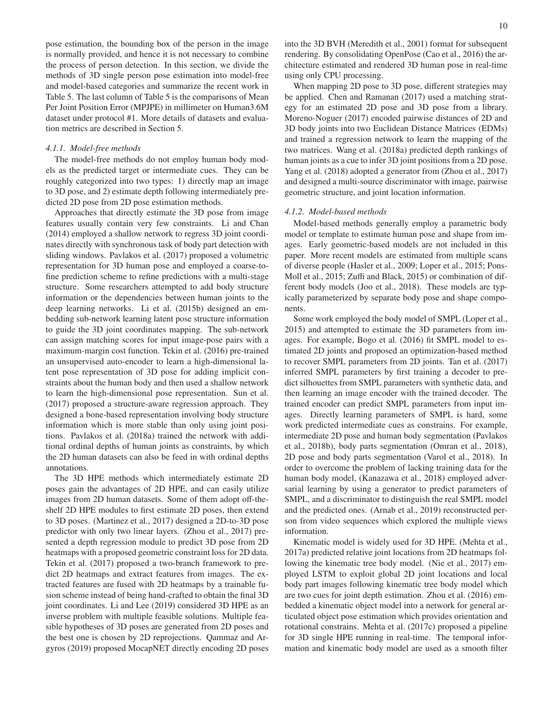pose estimation, the bounding box of the person in the image is normally provided, and hence it is not necessary to combine the process of person detection. In this section, we divide the methods of 3D single person pose estimation into model-free and model-based categories and summarize the recent work in Table 5. The last column of Table 5 is the comparisons of Mean Per Joint Position Error (MPJPE) in millimeter on Human3.6M dataset under protocol #1. More details of datasets and evaluation metrics are described in Section 5.

# *4.1.1. Model-free methods*

The model-free methods do not employ human body models as the predicted target or intermediate cues. They can be roughly categorized into two types: 1) directly map an image to 3D pose, and 2) estimate depth following intermediately predicted 2D pose from 2D pose estimation methods.

Approaches that directly estimate the 3D pose from image features usually contain very few constraints. Li and Chan (2014) employed a shallow network to regress 3D joint coordinates directly with synchronous task of body part detection with sliding windows. Pavlakos et al. (2017) proposed a volumetric representation for 3D human pose and employed a coarse-tofine prediction scheme to refine predictions with a multi-stage structure. Some researchers attempted to add body structure information or the dependencies between human joints to the deep learning networks. Li et al. (2015b) designed an embedding sub-network learning latent pose structure information to guide the 3D joint coordinates mapping. The sub-network can assign matching scores for input image-pose pairs with a maximum-margin cost function. Tekin et al. (2016) pre-trained an unsupervised auto-encoder to learn a high-dimensional latent pose representation of 3D pose for adding implicit constraints about the human body and then used a shallow network to learn the high-dimensional pose representation. Sun et al. (2017) proposed a structure-aware regression approach. They designed a bone-based representation involving body structure information which is more stable than only using joint positions. Pavlakos et al. (2018a) trained the network with additional ordinal depths of human joints as constraints, by which the 2D human datasets can also be feed in with ordinal depths annotations.

The 3D HPE methods which intermediately estimate 2D poses gain the advantages of 2D HPE, and can easily utilize images from 2D human datasets. Some of them adopt off-theshelf 2D HPE modules to first estimate 2D poses, then extend to 3D poses. (Martinez et al., 2017) designed a 2D-to-3D pose predictor with only two linear layers. (Zhou et al., 2017) presented a depth regression module to predict 3D pose from 2D heatmaps with a proposed geometric constraint loss for 2D data. Tekin et al. (2017) proposed a two-branch framework to predict 2D heatmaps and extract features from images. The extracted features are fused with 2D heatmaps by a trainable fusion scheme instead of being hand-crafted to obtain the final 3D joint coordinates. Li and Lee (2019) considered 3D HPE as an inverse problem with multiple feasible solutions. Multiple feasible hypotheses of 3D poses are generated from 2D poses and the best one is chosen by 2D reprojections. Qammaz and Argyros (2019) proposed MocapNET directly encoding 2D poses

into the 3D BVH (Meredith et al., 2001) format for subsequent rendering. By consolidating OpenPose (Cao et al., 2016) the architecture estimated and rendered 3D human pose in real-time using only CPU processing.

When mapping 2D pose to 3D pose, different strategies may be applied. Chen and Ramanan (2017) used a matching strategy for an estimated 2D pose and 3D pose from a library. Moreno-Noguer (2017) encoded pairwise distances of 2D and 3D body joints into two Euclidean Distance Matrices (EDMs) and trained a regression network to learn the mapping of the two matrices. Wang et al. (2018a) predicted depth rankings of human joints as a cue to infer 3D joint positions from a 2D pose. Yang et al. (2018) adopted a generator from (Zhou et al., 2017) and designed a multi-source discriminator with image, pairwise geometric structure, and joint location information.

#### *4.1.2. Model-based methods*

Model-based methods generally employ a parametric body model or template to estimate human pose and shape from images. Early geometric-based models are not included in this paper. More recent models are estimated from multiple scans of diverse people (Hasler et al., 2009; Loper et al., 2015; Pons-Moll et al., 2015; Zuffi and Black, 2015) or combination of different body models (Joo et al., 2018). These models are typically parameterized by separate body pose and shape components.

Some work employed the body model of SMPL (Loper et al., 2015) and attempted to estimate the 3D parameters from images. For example, Bogo et al. (2016) fit SMPL model to estimated 2D joints and proposed an optimization-based method to recover SMPL parameters from 2D joints. Tan et al. (2017) inferred SMPL parameters by first training a decoder to predict silhouettes from SMPL parameters with synthetic data, and then learning an image encoder with the trained decoder. The trained encoder can predict SMPL parameters from input images. Directly learning parameters of SMPL is hard, some work predicted intermediate cues as constrains. For example, intermediate 2D pose and human body segmentation (Pavlakos et al., 2018b), body parts segmentation (Omran et al., 2018), 2D pose and body parts segmentation (Varol et al., 2018). In order to overcome the problem of lacking training data for the human body model, (Kanazawa et al., 2018) employed adversarial learning by using a generator to predict parameters of SMPL, and a discriminator to distinguish the real SMPL model and the predicted ones. (Arnab et al., 2019) reconstructed person from video sequences which explored the multiple views information.

Kinematic model is widely used for 3D HPE. (Mehta et al., 2017a) predicted relative joint locations from 2D heatmaps following the kinematic tree body model. (Nie et al., 2017) employed LSTM to exploit global 2D joint locations and local body part images following kinematic tree body model which are two cues for joint depth estimation. Zhou et al. (2016) embedded a kinematic object model into a network for general articulated object pose estimation which provides orientation and rotational constrains. Mehta et al. (2017c) proposed a pipeline for 3D single HPE running in real-time. The temporal information and kinematic body model are used as a smooth filter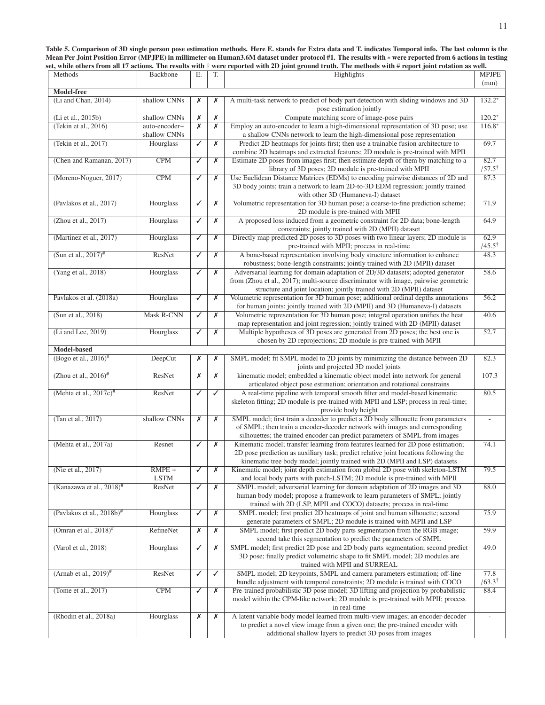Table 5. Comparison of 3D single person pose estimation methods. Here E. stands for Extra data and T. indicates Temporal info. The last column is the Mean Per Joint Position Error (MPJPE) in millimeter on Human3.6M dataset under protocol #1. The results with ∗ were reported from 6 actions in testing set, while others from all 17 actions. The results with † were reported with 2D joint ground truth. The methods with # report joint rotation as well.

| Methods                                  | Backbone                      | Е.               | T.<br>Highlights  |                                                                                                                                                                                                                                                | <b>MPJPE</b>              |
|------------------------------------------|-------------------------------|------------------|-------------------|------------------------------------------------------------------------------------------------------------------------------------------------------------------------------------------------------------------------------------------------|---------------------------|
| <b>Model-free</b>                        |                               |                  |                   |                                                                                                                                                                                                                                                | (mm)                      |
| (Li and Chan, 2014)                      | shallow CNNs                  | Х                | Х                 | A multi-task network to predict of body part detection with sliding windows and 3D                                                                                                                                                             | $132.2*$                  |
|                                          |                               |                  |                   | pose estimation jointly                                                                                                                                                                                                                        |                           |
| (Li et al., 2015b)                       | shallow CNNs                  | Х                | Х                 | Compute matching score of image-pose pairs                                                                                                                                                                                                     | $120.2*$                  |
| (Tekin et al., 2016)                     | auto-encoder+<br>shallow CNNs | X                | Х                 | Employ an auto-encoder to learn a high-dimensional representation of 3D pose; use<br>a shallow CNNs network to learn the high-dimensional pose representation                                                                                  | $116.8*$                  |
| (Tekin et al., 2017)                     | Hourglass                     | ✓                | Х                 | Predict 2D heatmaps for joints first; then use a trainable fusion architecture to<br>combine 2D heatmaps and extracted features; 2D module is pre-trained with MPII                                                                            | 69.7                      |
| (Chen and Ramanan, 2017)                 | <b>CPM</b>                    | ✓                | Х                 | Estimate 2D poses from images first; then estimate depth of them by matching to a<br>library of 3D poses; 2D module is pre-trained with MPII                                                                                                   | 82.7<br>$/57.5^{\dagger}$ |
| (Moreno-Noguer, 2017)                    | <b>CPM</b>                    | ✓                | Х                 | Use Euclidean Distance Matrices (EDMs) to encoding pairwise distances of 2D and<br>3D body joints; train a network to learn 2D-to-3D EDM regression; jointly trained<br>with other 3D (Humaneva-I) dataset                                     |                           |
| (Pavlakos et al., 2017)                  | Hourglass                     | ✓                | Х                 | Volumetric representation for 3D human pose; a coarse-to-fine prediction scheme;<br>2D module is pre-trained with MPII                                                                                                                         | 71.9                      |
| (Zhou et al., 2017)                      | Hourglass                     | ✓                | Х                 | A proposed loss induced from a geometric constraint for 2D data; bone-length<br>constraints; jointly trained with 2D (MPII) dataset                                                                                                            | 64.9                      |
| (Martinez et al., 2017)                  | Hourglass                     | ✓                | Х                 | Directly map predicted 2D poses to 3D poses with two linear layers; 2D module is                                                                                                                                                               | 62.9                      |
| (Sun et al., $2017$ ) <sup>#</sup>       | ResNet                        | ✓                |                   | pre-trained with MPII; process in real-time                                                                                                                                                                                                    | $/45.5^{\dagger}$<br>48.3 |
|                                          |                               |                  | Х                 | A bone-based representation involving body structure information to enhance<br>robustness; bone-length constraints; jointly trained with 2D (MPII) dataset                                                                                     |                           |
| (Yang et al., 2018)                      | Hourglass                     | ✓                | Х                 | Adversarial learning for domain adaptation of 2D/3D datasets; adopted generator<br>from (Zhou et al., 2017); multi-source discriminator with image, pairwise geometric<br>structure and joint location; jointly trained with 2D (MPII) dataset | 58.6                      |
| Pavlakos et al. (2018a)                  | Hourglass                     | ✓                | Х                 | Volumetric representation for 3D human pose; additional ordinal depths annotations<br>for human joints; jointly trained with 2D (MPII) and 3D (Humaneva-I) datasets                                                                            | 56.2                      |
| (Sun et al., 2018)                       | Mask R-CNN                    | ✓                | $\overline{\chi}$ | Volumetric representation for 3D human pose; integral operation unifies the heat<br>map representation and joint regression; jointly trained with 2D (MPII) dataset                                                                            | 40.6                      |
| (Li and Lee, 2019)                       | Hourglass                     | ✓                | Х                 | Multiple hypotheses of 3D poses are generated from 2D poses; the best one is<br>chosen by 2D reprojections; 2D module is pre-trained with MPII                                                                                                 | 52.7                      |
| Model-based                              |                               |                  |                   |                                                                                                                                                                                                                                                |                           |
| (Bogo et al., $2016$ ) <sup>#</sup>      | DeepCut                       | Х                | Х                 | SMPL model; fit SMPL model to 2D joints by minimizing the distance between 2D<br>joints and projected 3D model joints                                                                                                                          | 82.3                      |
| (Zhou et al., $2016$ ) <sup>#</sup>      | ResNet                        | Х                | Х                 | kinematic model; embedded a kinematic object model into network for general<br>articulated object pose estimation; orientation and rotational constrains                                                                                       | 107.3                     |
| (Mehta et al., $2017c$ ) <sup>#</sup>    | ResNet                        | ✓                | ✓                 | A real-time pipeline with temporal smooth filter and model-based kinematic<br>skeleton fitting; 2D module is pre-trained with MPII and LSP; process in real-time;<br>provide body height                                                       | 80.5                      |
| (Tan et al., 2017)                       | shallow CNNs                  | $\boldsymbol{x}$ | Х                 | SMPL model; first train a decoder to predict a 2D body silhouette from parameters<br>of SMPL; then train a encoder-decoder network with images and corresponding                                                                               | $\overline{\phantom{m}}$  |
| (Mehta et al., 2017a)                    | Resnet                        | ✓                | Х                 | silhouettes; the trained encoder can predict parameters of SMPL from images<br>Kinematic model; transfer learning from features learned for 2D pose estimation;                                                                                | 74.1                      |
|                                          |                               |                  |                   | 2D pose prediction as auxiliary task; predict relative joint locations following the<br>kinematic tree body model; jointly trained with 2D (MPII and LSP) datasets                                                                             |                           |
| (Nie et al., 2017)                       | $RMPE +$<br><b>LSTM</b>       | ✓                | $\pmb{\times}$    | Kinematic model; joint depth estimation from global 2D pose with skeleton-LSTM<br>and local body parts with patch-LSTM; 2D module is pre-trained with MPII                                                                                     | 79.5                      |
| (Kanazawa et al., $2018$ ) <sup>#</sup>  | ResNet                        | ✓                | Х                 | SMPL model; adversarial learning for domain adaptation of 2D images and 3D<br>human body model; propose a framework to learn parameters of SMPL; jointly<br>trained with 2D (LSP, MPII and COCO) datasets; process in real-time                | 88.0                      |
| (Pavlakos et al., $2018b$ ) <sup>#</sup> | Hourglass                     | ✓                | Х                 | SMPL model; first predict 2D heatmaps of joint and human silhouette; second<br>generate parameters of SMPL; 2D module is trained with MPII and LSP                                                                                             | 75.9                      |
| (Omran et al., $2018$ ) <sup>#</sup>     | RefineNet                     | Х                | Х                 | SMPL model; first predict 2D body parts segmentation from the RGB image;<br>second take this segmentation to predict the parameters of SMPL                                                                                                    | 59.9                      |
| (Varol et al., 2018)                     | Hourglass                     | ✓                | Х                 | SMPL model; first predict 2D pose and 2D body parts segmentation; second predict<br>3D pose; finally predict volumetric shape to fit SMPL model; 2D modules are<br>trained with MPII and SURREAL                                               | 49.0                      |
| (Arnab et al., $2019$ ) <sup>#</sup>     | ResNet                        | ✓                | ✓                 | SMPL model; 2D keypoints, SMPL and camera parameters estimation; off-line<br>bundle adjustment with temporal constraints; 2D module is trained with COCO                                                                                       | 77.8<br>$/63.3^{\dagger}$ |
| (Tome et al., 2017)                      | CPM                           | ✓                | Х                 | Pre-trained probabilistic 3D pose model; 3D lifting and projection by probabilistic<br>model within the CPM-like network; 2D module is pre-trained with MPII; process<br>in real-time                                                          | 88.4                      |
| (Rhodin et al., 2018a)                   | Hourglass                     | Х                | Х                 | A latent variable body model learned from multi-view images; an encoder-decoder<br>to predict a novel view image from a given one; the pre-trained encoder with<br>additional shallow layers to predict 3D poses from images                   |                           |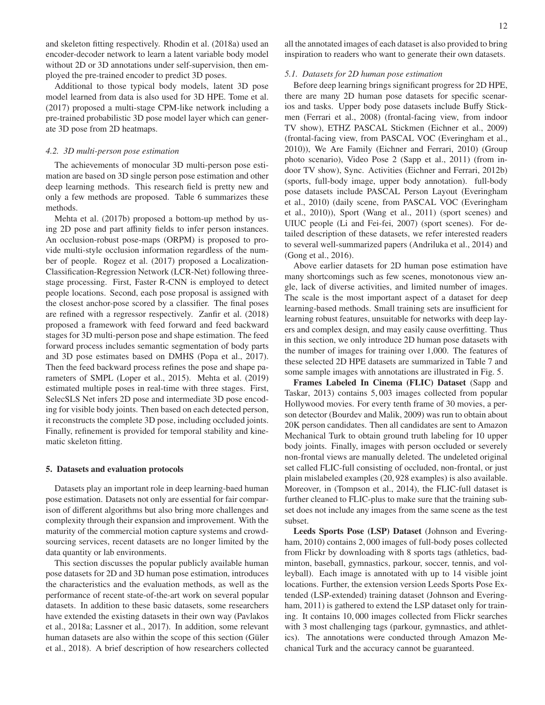and skeleton fitting respectively. Rhodin et al. (2018a) used an encoder-decoder network to learn a latent variable body model without 2D or 3D annotations under self-supervision, then employed the pre-trained encoder to predict 3D poses.

Additional to those typical body models, latent 3D pose model learned from data is also used for 3D HPE. Tome et al. (2017) proposed a multi-stage CPM-like network including a pre-trained probabilistic 3D pose model layer which can generate 3D pose from 2D heatmaps.

## *4.2. 3D multi-person pose estimation*

The achievements of monocular 3D multi-person pose estimation are based on 3D single person pose estimation and other deep learning methods. This research field is pretty new and only a few methods are proposed. Table 6 summarizes these methods.

Mehta et al. (2017b) proposed a bottom-up method by using 2D pose and part affinity fields to infer person instances. An occlusion-robust pose-maps (ORPM) is proposed to provide multi-style occlusion information regardless of the number of people. Rogez et al. (2017) proposed a Localization-Classification-Regression Network (LCR-Net) following threestage processing. First, Faster R-CNN is employed to detect people locations. Second, each pose proposal is assigned with the closest anchor-pose scored by a classifier. The final poses are refined with a regressor respectively. Zanfir et al. (2018) proposed a framework with feed forward and feed backward stages for 3D multi-person pose and shape estimation. The feed forward process includes semantic segmentation of body parts and 3D pose estimates based on DMHS (Popa et al., 2017). Then the feed backward process refines the pose and shape parameters of SMPL (Loper et al., 2015). Mehta et al. (2019) estimated multiple poses in real-time with three stages. First, SelecSLS Net infers 2D pose and intermediate 3D pose encoding for visible body joints. Then based on each detected person, it reconstructs the complete 3D pose, including occluded joints. Finally, refinement is provided for temporal stability and kinematic skeleton fitting.

#### 5. Datasets and evaluation protocols

Datasets play an important role in deep learning-baed human pose estimation. Datasets not only are essential for fair comparison of different algorithms but also bring more challenges and complexity through their expansion and improvement. With the maturity of the commercial motion capture systems and crowdsourcing services, recent datasets are no longer limited by the data quantity or lab environments.

This section discusses the popular publicly available human pose datasets for 2D and 3D human pose estimation, introduces the characteristics and the evaluation methods, as well as the performance of recent state-of-the-art work on several popular datasets. In addition to these basic datasets, some researchers have extended the existing datasets in their own way (Pavlakos et al., 2018a; Lassner et al., 2017). In addition, some relevant human datasets are also within the scope of this section (Güler et al., 2018). A brief description of how researchers collected

#### *5.1. Datasets for 2D human pose estimation*

Before deep learning brings significant progress for 2D HPE, there are many 2D human pose datasets for specific scenarios and tasks. Upper body pose datasets include Buffy Stickmen (Ferrari et al., 2008) (frontal-facing view, from indoor TV show), ETHZ PASCAL Stickmen (Eichner et al., 2009) (frontal-facing view, from PASCAL VOC (Everingham et al., 2010)), We Are Family (Eichner and Ferrari, 2010) (Group photo scenario), Video Pose 2 (Sapp et al., 2011) (from indoor TV show), Sync. Activities (Eichner and Ferrari, 2012b) (sports, full-body image, upper body annotation). full-body pose datasets include PASCAL Person Layout (Everingham et al., 2010) (daily scene, from PASCAL VOC (Everingham et al., 2010)), Sport (Wang et al., 2011) (sport scenes) and UIUC people (Li and Fei-fei, 2007) (sport scenes). For detailed description of these datasets, we refer interested readers to several well-summarized papers (Andriluka et al., 2014) and (Gong et al., 2016).

Above earlier datasets for 2D human pose estimation have many shortcomings such as few scenes, monotonous view angle, lack of diverse activities, and limited number of images. The scale is the most important aspect of a dataset for deep learning-based methods. Small training sets are insufficient for learning robust features, unsuitable for networks with deep layers and complex design, and may easily cause overfitting. Thus in this section, we only introduce 2D human pose datasets with the number of images for training over 1,000. The features of these selected 2D HPE datasets are summarized in Table 7 and some sample images with annotations are illustrated in Fig. 5.

Frames Labeled In Cinema (FLIC) Dataset (Sapp and Taskar, 2013) contains 5, 003 images collected from popular Hollywood movies. For every tenth frame of 30 movies, a person detector (Bourdev and Malik, 2009) was run to obtain about 20K person candidates. Then all candidates are sent to Amazon Mechanical Turk to obtain ground truth labeling for 10 upper body joints. Finally, images with person occluded or severely non-frontal views are manually deleted. The undeleted original set called FLIC-full consisting of occluded, non-frontal, or just plain mislabeled examples (20, 928 examples) is also available. Moreover, in (Tompson et al., 2014), the FLIC-full dataset is further cleaned to FLIC-plus to make sure that the training subset does not include any images from the same scene as the test subset.

Leeds Sports Pose (LSP) Dataset (Johnson and Everingham, 2010) contains 2,000 images of full-body poses collected from Flickr by downloading with 8 sports tags (athletics, badminton, baseball, gymnastics, parkour, soccer, tennis, and volleyball). Each image is annotated with up to 14 visible joint locations. Further, the extension version Leeds Sports Pose Extended (LSP-extended) training dataset (Johnson and Everingham, 2011) is gathered to extend the LSP dataset only for training. It contains 10, 000 images collected from Flickr searches with 3 most challenging tags (parkour, gymnastics, and athletics). The annotations were conducted through Amazon Mechanical Turk and the accuracy cannot be guaranteed.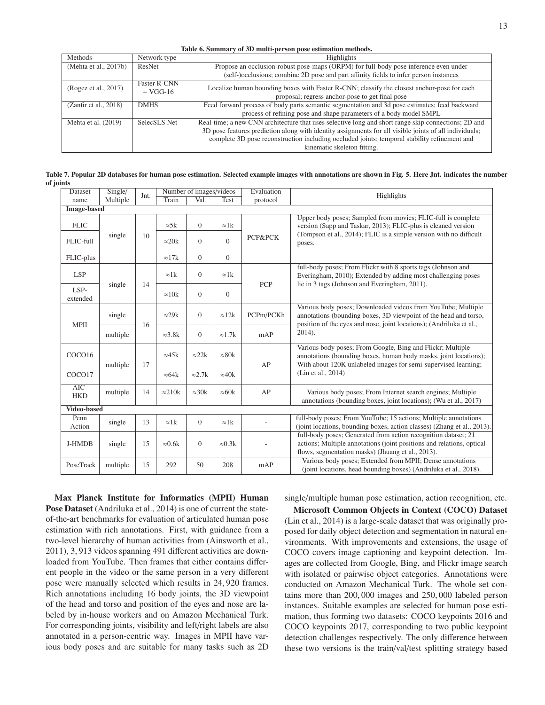| v       |    |
|---------|----|
| ۰,<br>× | ۰. |

Table 6. Summary of 3D multi-person pose estimation methods.

| Methods               | Network type                      | Highlights                                                                                                                                    |
|-----------------------|-----------------------------------|-----------------------------------------------------------------------------------------------------------------------------------------------|
| (Mehta et al., 2017b) | ResNet                            | Propose an occlusion-robust pose-maps (ORPM) for full-body pose inference even under                                                          |
|                       |                                   | (self-)occlusions; combine 2D pose and part affinity fields to infer person instances                                                         |
| (Rogez et al., 2017)  | <b>Faster R-CNN</b><br>$+ VGG-16$ | Localize human bounding boxes with Faster R-CNN; classify the closest anchor-pose for each<br>proposal; regress anchor-pose to get final pose |
| (Zanfir et al., 2018) | <b>DMHS</b>                       | Feed forward process of body parts semantic segmentation and 3d pose estimates; feed backward                                                 |
|                       |                                   | process of refining pose and shape parameters of a body model SMPL                                                                            |
| Mehta et al. $(2019)$ | SelecSLS Net                      | Real-time; a new CNN architecture that uses selective long and short range skip connections; 2D and                                           |
|                       |                                   | 3D pose features prediction along with identity assignments for all visible joints of all individuals;                                        |
|                       |                                   | complete 3D pose reconstruction including occluded joints; temporal stability refinement and                                                  |
|                       |                                   | kinematic skeleton fitting.                                                                                                                   |

Table 7. Popular 2D databases for human pose estimation. Selected example images with annotations are shown in Fig. 5. Here Jnt. indicates the number of joints

| Dataset              | Single/  | Jnt. |                  | Number of images/videos |                | Evaluation | Highlights                                                                                                                                                                                   |
|----------------------|----------|------|------------------|-------------------------|----------------|------------|----------------------------------------------------------------------------------------------------------------------------------------------------------------------------------------------|
| name                 | Multiple |      | Train            | Val                     | Test           | protocol   |                                                                                                                                                                                              |
| <b>Image-based</b>   |          |      |                  |                         |                |            |                                                                                                                                                                                              |
| <b>FLIC</b>          |          |      | $\approx 5k$     | $\boldsymbol{0}$        | $\approx$ 1k   |            | Upper body poses; Sampled from movies; FLIC-full is complete<br>version (Sapp and Taskar, 2013); FLIC-plus is cleaned version                                                                |
| FLIC-full            | single   | 10   | $\approx$ 20 $k$ | $\boldsymbol{0}$        | $\overline{0}$ | PCP&PCK    | (Tompson et al., 2014); FLIC is a simple version with no difficult<br>poses.                                                                                                                 |
| FLIC-plus            |          |      | $\approx 17k$    | $\mathbf{0}$            | $\mathbf{0}$   |            |                                                                                                                                                                                              |
| <b>LSP</b>           |          |      | $\approx$ 1k     | $\mathbf{0}$            | $\approx$ 1k   |            | full-body poses; From Flickr with 8 sports tags (Johnson and<br>Everingham, 2010); Extended by adding most challenging poses<br>lie in 3 tags (Johnson and Everingham, 2011).                |
| LSP-<br>extended     | single   | 14   | $\approx 10k$    | $\mathbf{0}$            | $\theta$       | <b>PCP</b> |                                                                                                                                                                                              |
|                      | single   |      | $\approx$ 29k    | $\mathbf{0}$            | $\approx 12k$  | PCPm/PCKh  | Various body poses; Downloaded videos from YouTube; Multiple<br>annotations (bounding boxes, 3D viewpoint of the head and torso,                                                             |
| <b>MPII</b>          | multiple | 16   | $\approx 3.8k$   | $\mathbf{0}$            | $\approx 1.7k$ | mAP        | position of the eyes and nose, joint locations); (Andriluka et al.,<br>$2014$ ).                                                                                                             |
| COCO16               |          |      | $\approx 45k$    | $\approx$ 22k           | $\approx 80k$  |            | Various body poses; From Google, Bing and Flickr; Multiple<br>annotations (bounding boxes, human body masks, joint locations);                                                               |
| COCO17               | multiple | 17   | $\approx 64k$    | $\approx$ 2.7k          | $\approx 40k$  | AP         | With about 120K unlabeled images for semi-supervised learning;<br>(Lin et al., 2014)                                                                                                         |
| $AIC-$<br><b>HKD</b> | multiple | 14   | $\approx$ 210k   | $\approx 30k$           | $\approx 60k$  | AP         | Various body poses; From Internet search engines; Multiple<br>annotations (bounding boxes, joint locations); (Wu et al., 2017)                                                               |
| <b>Video-based</b>   |          |      |                  |                         |                |            |                                                                                                                                                                                              |
| Penn<br>Action       | single   | 13   | $\approx$ 1k     | $\mathbf{0}$            | $\approx$ 1k   |            | full-body poses; From YouTube; 15 actions; Multiple annotations<br>(joint locations, bounding boxes, action classes) (Zhang et al., 2013).                                                   |
| J-HMDB               | single   | 15   | $\approx 0.6k$   | $\mathbf{0}$            | $\approx 0.3k$ |            | full-body poses; Generated from action recognition dataset; 21<br>actions; Multiple annotations (joint positions and relations, optical<br>flows, segmentation masks) (Jhuang et al., 2013). |
| PoseTrack            | multiple | 15   | 292              | 50                      | 208            | mAP        | Various body poses; Extended from MPII; Dense annotations<br>(joint locations, head bounding boxes) (Andriluka et al., 2018).                                                                |

Max Planck Institute for Informatics (MPII) Human Pose Dataset (Andriluka et al., 2014) is one of current the stateof-the-art benchmarks for evaluation of articulated human pose estimation with rich annotations. First, with guidance from a two-level hierarchy of human activities from (Ainsworth et al., 2011), 3, 913 videos spanning 491 different activities are downloaded from YouTube. Then frames that either contains different people in the video or the same person in a very different pose were manually selected which results in 24, 920 frames. Rich annotations including 16 body joints, the 3D viewpoint of the head and torso and position of the eyes and nose are labeled by in-house workers and on Amazon Mechanical Turk. For corresponding joints, visibility and left/right labels are also annotated in a person-centric way. Images in MPII have various body poses and are suitable for many tasks such as 2D single/multiple human pose estimation, action recognition, etc.

Microsoft Common Objects in Context (COCO) Dataset (Lin et al., 2014) is a large-scale dataset that was originally proposed for daily object detection and segmentation in natural environments. With improvements and extensions, the usage of COCO covers image captioning and keypoint detection. Images are collected from Google, Bing, and Flickr image search with isolated or pairwise object categories. Annotations were conducted on Amazon Mechanical Turk. The whole set contains more than 200, 000 images and 250, 000 labeled person instances. Suitable examples are selected for human pose estimation, thus forming two datasets: COCO keypoints 2016 and COCO keypoints 2017, corresponding to two public keypoint detection challenges respectively. The only difference between these two versions is the train/val/test splitting strategy based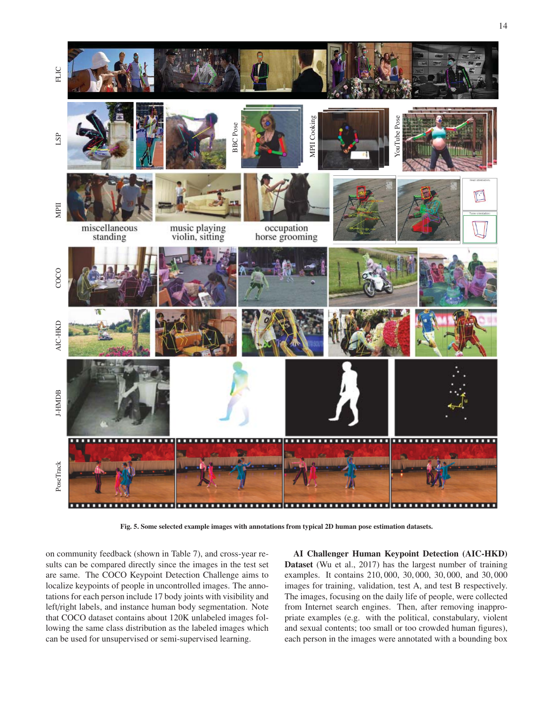

Fig. 5. Some selected example images with annotations from typical 2D human pose estimation datasets.

on community feedback (shown in Table 7), and cross-year results can be compared directly since the images in the test set are same. The COCO Keypoint Detection Challenge aims to localize keypoints of people in uncontrolled images. The annotations for each person include 17 body joints with visibility and left/right labels, and instance human body segmentation. Note that COCO dataset contains about 120K unlabeled images following the same class distribution as the labeled images which can be used for unsupervised or semi-supervised learning.

AI Challenger Human Keypoint Detection (AIC-HKD) Dataset (Wu et al., 2017) has the largest number of training examples. It contains 210, 000, 30, 000, 30, 000, and 30, 000 images for training, validation, test A, and test B respectively. The images, focusing on the daily life of people, were collected from Internet search engines. Then, after removing inappropriate examples (e.g. with the political, constabulary, violent and sexual contents; too small or too crowded human figures), each person in the images were annotated with a bounding box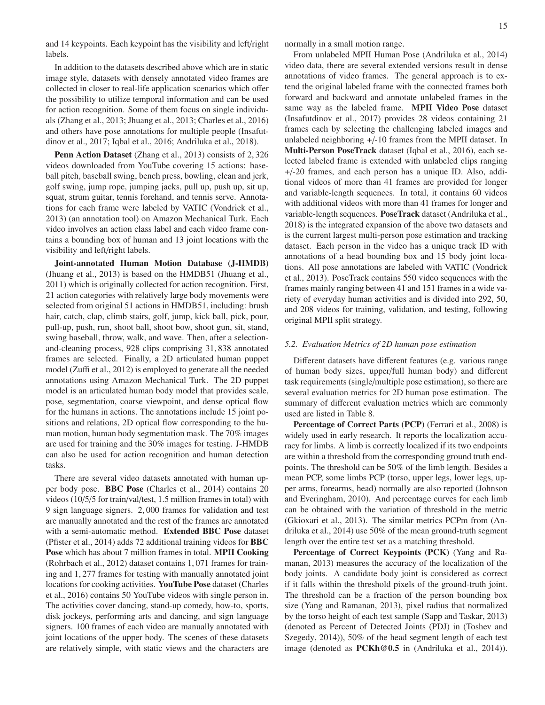and 14 keypoints. Each keypoint has the visibility and left/right labels.

In addition to the datasets described above which are in static image style, datasets with densely annotated video frames are collected in closer to real-life application scenarios which offer the possibility to utilize temporal information and can be used for action recognition. Some of them focus on single individuals (Zhang et al., 2013; Jhuang et al., 2013; Charles et al., 2016) and others have pose annotations for multiple people (Insafutdinov et al., 2017; Iqbal et al., 2016; Andriluka et al., 2018).

Penn Action Dataset (Zhang et al., 2013) consists of 2, 326 videos downloaded from YouTube covering 15 actions: baseball pitch, baseball swing, bench press, bowling, clean and jerk, golf swing, jump rope, jumping jacks, pull up, push up, sit up, squat, strum guitar, tennis forehand, and tennis serve. Annotations for each frame were labeled by VATIC (Vondrick et al., 2013) (an annotation tool) on Amazon Mechanical Turk. Each video involves an action class label and each video frame contains a bounding box of human and 13 joint locations with the visibility and left/right labels.

Joint-annotated Human Motion Database (J-HMDB) (Jhuang et al., 2013) is based on the HMDB51 (Jhuang et al., 2011) which is originally collected for action recognition. First, 21 action categories with relatively large body movements were selected from original 51 actions in HMDB51, including: brush hair, catch, clap, climb stairs, golf, jump, kick ball, pick, pour, pull-up, push, run, shoot ball, shoot bow, shoot gun, sit, stand, swing baseball, throw, walk, and wave. Then, after a selectionand-cleaning process, 928 clips comprising 31, 838 annotated frames are selected. Finally, a 2D articulated human puppet model (Zuffi et al., 2012) is employed to generate all the needed annotations using Amazon Mechanical Turk. The 2D puppet model is an articulated human body model that provides scale, pose, segmentation, coarse viewpoint, and dense optical flow for the humans in actions. The annotations include 15 joint positions and relations, 2D optical flow corresponding to the human motion, human body segmentation mask. The 70% images are used for training and the 30% images for testing. J-HMDB can also be used for action recognition and human detection tasks.

There are several video datasets annotated with human upper body pose. BBC Pose (Charles et al., 2014) contains 20 videos (10/5/5 for train/val/test, 1.5 million frames in total) with 9 sign language signers. 2, 000 frames for validation and test are manually annotated and the rest of the frames are annotated with a semi-automatic method. Extended BBC Pose dataset (Pfister et al., 2014) adds 72 additional training videos for BBC Pose which has about 7 million frames in total. MPII Cooking (Rohrbach et al., 2012) dataset contains 1, 071 frames for training and 1, 277 frames for testing with manually annotated joint locations for cooking activities. YouTube Pose dataset (Charles et al., 2016) contains 50 YouTube videos with single person in. The activities cover dancing, stand-up comedy, how-to, sports, disk jockeys, performing arts and dancing, and sign language signers. 100 frames of each video are manually annotated with joint locations of the upper body. The scenes of these datasets are relatively simple, with static views and the characters are normally in a small motion range.

From unlabeled MPII Human Pose (Andriluka et al., 2014) video data, there are several extended versions result in dense annotations of video frames. The general approach is to extend the original labeled frame with the connected frames both forward and backward and annotate unlabeled frames in the same way as the labeled frame. MPII Video Pose dataset (Insafutdinov et al., 2017) provides 28 videos containing 21 frames each by selecting the challenging labeled images and unlabeled neighboring +/-10 frames from the MPII dataset. In Multi-Person PoseTrack dataset (Iqbal et al., 2016), each selected labeled frame is extended with unlabeled clips ranging +/-20 frames, and each person has a unique ID. Also, additional videos of more than 41 frames are provided for longer and variable-length sequences. In total, it contains 60 videos with additional videos with more than 41 frames for longer and variable-length sequences. PoseTrack dataset (Andriluka et al., 2018) is the integrated expansion of the above two datasets and is the current largest multi-person pose estimation and tracking dataset. Each person in the video has a unique track ID with annotations of a head bounding box and 15 body joint locations. All pose annotations are labeled with VATIC (Vondrick et al., 2013). PoseTrack contains 550 video sequences with the frames mainly ranging between 41 and 151 frames in a wide variety of everyday human activities and is divided into 292, 50, and 208 videos for training, validation, and testing, following original MPII split strategy.

### *5.2. Evaluation Metrics of 2D human pose estimation*

Different datasets have different features (e.g. various range of human body sizes, upper/full human body) and different task requirements (single/multiple pose estimation), so there are several evaluation metrics for 2D human pose estimation. The summary of different evaluation metrics which are commonly used are listed in Table 8.

Percentage of Correct Parts (PCP) (Ferrari et al., 2008) is widely used in early research. It reports the localization accuracy for limbs. A limb is correctly localized if its two endpoints are within a threshold from the corresponding ground truth endpoints. The threshold can be 50% of the limb length. Besides a mean PCP, some limbs PCP (torso, upper legs, lower legs, upper arms, forearms, head) normally are also reported (Johnson and Everingham, 2010). And percentage curves for each limb can be obtained with the variation of threshold in the metric (Gkioxari et al., 2013). The similar metrics PCPm from (Andriluka et al., 2014) use 50% of the mean ground-truth segment length over the entire test set as a matching threshold.

Percentage of Correct Keypoints (PCK) (Yang and Ramanan, 2013) measures the accuracy of the localization of the body joints. A candidate body joint is considered as correct if it falls within the threshold pixels of the ground-truth joint. The threshold can be a fraction of the person bounding box size (Yang and Ramanan, 2013), pixel radius that normalized by the torso height of each test sample (Sapp and Taskar, 2013) (denoted as Percent of Detected Joints (PDJ) in (Toshev and Szegedy, 2014)), 50% of the head segment length of each test image (denoted as **PCKh@0.5** in (Andriluka et al., 2014)).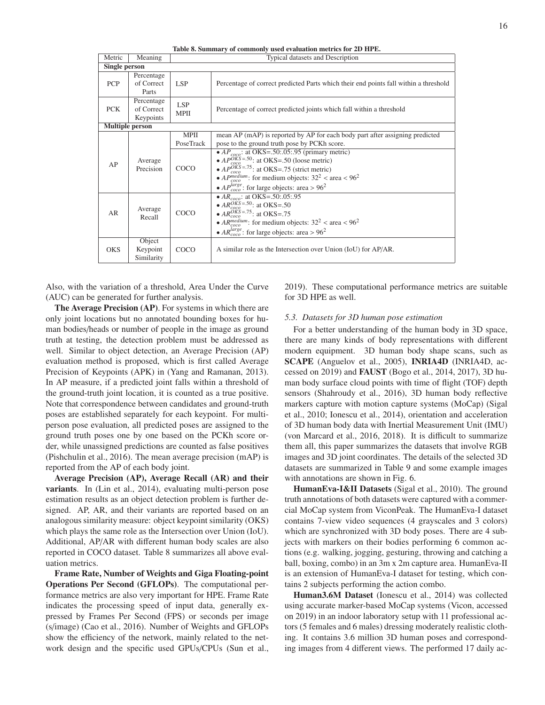| Metric        | Meaning                               | <b>Typical datasets and Description</b> |                                                                                                                                                                                                                                                                            |  |  |  |  |  |
|---------------|---------------------------------------|-----------------------------------------|----------------------------------------------------------------------------------------------------------------------------------------------------------------------------------------------------------------------------------------------------------------------------|--|--|--|--|--|
| Single person |                                       |                                         |                                                                                                                                                                                                                                                                            |  |  |  |  |  |
| <b>PCP</b>    | Percentage<br>of Correct<br>Parts     | <b>LSP</b>                              | Percentage of correct predicted Parts which their end points fall within a threshold                                                                                                                                                                                       |  |  |  |  |  |
| <b>PCK</b>    | Percentage<br>of Correct<br>Keypoints | <b>LSP</b><br><b>MPII</b>               | Percentage of correct predicted joints which fall within a threshold                                                                                                                                                                                                       |  |  |  |  |  |
|               | <b>Multiple person</b>                |                                         |                                                                                                                                                                                                                                                                            |  |  |  |  |  |
|               | Average                               | <b>MPII</b><br>PoseTrack                | mean AP (mAP) is reported by AP for each body part after assigning predicted<br>pose to the ground truth pose by PCKh score.<br>• $AP_{coco}$ : at OKS=.50:.05:.95 (primary metric)<br>• $AP_{cece}^{OKS=.50}$ : at OKS=.50 (loose metric)                                 |  |  |  |  |  |
| AP            | Precision                             | COCO                                    | • $AP_{cece}^{OKS = .75}$ : at OKS=.75 (strict metric)<br>• APmedium: for medium objects: $32^2$ < area < 96 <sup>2</sup><br>• $AP_{coco}^{large}$ : for large objects: area > 96 <sup>2</sup>                                                                             |  |  |  |  |  |
| AR            | Average<br>Recall                     | COCO                                    | • $AR_{cece}$ : at OKS=.50:.05:.95<br>• $AR_{cece}^{OKS = .50}$ : at OKS=.50<br>• $AR_{cece}^{OKS=.75}$ : at OKS=.75<br>• $AR_{cece}^{medium}$ : for medium objects: $32^{2}$ < area < 96 <sup>2</sup><br>• $AR_{coc}^{large}$ : for large objects: area > 96 <sup>2</sup> |  |  |  |  |  |
| <b>OKS</b>    | Object<br>Keypoint<br>Similarity      | <b>COCO</b>                             | A similar role as the Intersection over Union (IoU) for AP/AR.                                                                                                                                                                                                             |  |  |  |  |  |

Table 8. Summary of commonly used evaluation metrics for 2D HPE.

Also, with the variation of a threshold, Area Under the Curve (AUC) can be generated for further analysis.

The Average Precision (AP). For systems in which there are only joint locations but no annotated bounding boxes for human bodies/heads or number of people in the image as ground truth at testing, the detection problem must be addressed as well. Similar to object detection, an Average Precision (AP) evaluation method is proposed, which is first called Average Precision of Keypoints (APK) in (Yang and Ramanan, 2013). In AP measure, if a predicted joint falls within a threshold of the ground-truth joint location, it is counted as a true positive. Note that correspondence between candidates and ground-truth poses are established separately for each keypoint. For multiperson pose evaluation, all predicted poses are assigned to the ground truth poses one by one based on the PCKh score order, while unassigned predictions are counted as false positives (Pishchulin et al., 2016). The mean average precision (mAP) is reported from the AP of each body joint.

Average Precision (AP), Average Recall (AR) and their variants. In (Lin et al., 2014), evaluating multi-person pose estimation results as an object detection problem is further designed. AP, AR, and their variants are reported based on an analogous similarity measure: object keypoint similarity (OKS) which plays the same role as the Intersection over Union (IoU). Additional, AP/AR with different human body scales are also reported in COCO dataset. Table 8 summarizes all above evaluation metrics.

Frame Rate, Number of Weights and Giga Floating-point Operations Per Second (GFLOPs). The computational performance metrics are also very important for HPE. Frame Rate indicates the processing speed of input data, generally expressed by Frames Per Second (FPS) or seconds per image (s/image) (Cao et al., 2016). Number of Weights and GFLOPs show the efficiency of the network, mainly related to the network design and the specific used GPUs/CPUs (Sun et al.,

2019). These computational performance metrics are suitable for 3D HPE as well.

## *5.3. Datasets for 3D human pose estimation*

For a better understanding of the human body in 3D space, there are many kinds of body representations with different modern equipment. 3D human body shape scans, such as SCAPE (Anguelov et al., 2005), INRIA4D (INRIA4D, accessed on 2019) and FAUST (Bogo et al., 2014, 2017), 3D human body surface cloud points with time of flight (TOF) depth sensors (Shahroudy et al., 2016), 3D human body reflective markers capture with motion capture systems (MoCap) (Sigal et al., 2010; Ionescu et al., 2014), orientation and acceleration of 3D human body data with Inertial Measurement Unit (IMU) (von Marcard et al., 2016, 2018). It is difficult to summarize them all, this paper summarizes the datasets that involve RGB images and 3D joint coordinates. The details of the selected 3D datasets are summarized in Table 9 and some example images with annotations are shown in Fig. 6.

HumanEva-I&II Datasets (Sigal et al., 2010). The ground truth annotations of both datasets were captured with a commercial MoCap system from ViconPeak. The HumanEva-I dataset contains 7-view video sequences (4 grayscales and 3 colors) which are synchronized with 3D body poses. There are 4 subjects with markers on their bodies performing 6 common actions (e.g. walking, jogging, gesturing, throwing and catching a ball, boxing, combo) in an 3m x 2m capture area. HumanEva-II is an extension of HumanEva-I dataset for testing, which contains 2 subjects performing the action combo.

Human3.6M Dataset (Ionescu et al., 2014) was collected using accurate marker-based MoCap systems (Vicon, accessed on 2019) in an indoor laboratory setup with 11 professional actors (5 females and 6 males) dressing moderately realistic clothing. It contains 3.6 million 3D human poses and corresponding images from 4 different views. The performed 17 daily ac-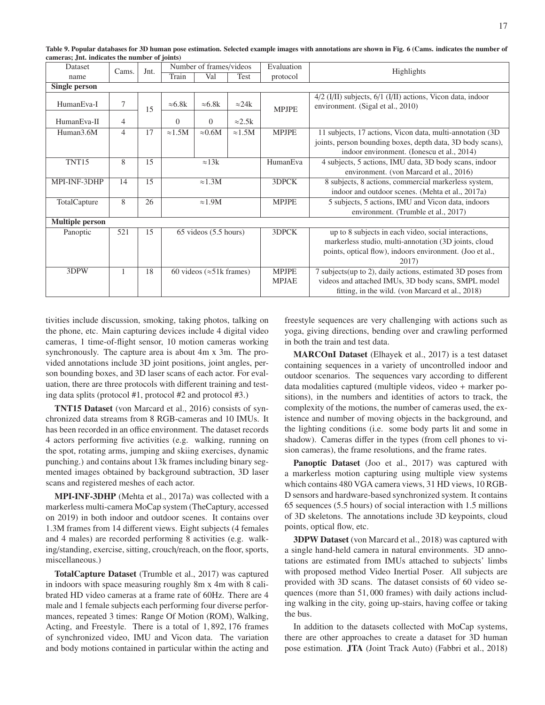Table 9. Popular databases for 3D human pose estimation. Selected example images with annotations are shown in Fig. 6 (Cams. indicates the number of cameras; Jnt. indicates the number of joints)

| <b>Dataset</b>         | Cams.          | Jnt. | Number of frames/videos           |                       |                | Evaluation                                             | Highlights                                                                                       |
|------------------------|----------------|------|-----------------------------------|-----------------------|----------------|--------------------------------------------------------|--------------------------------------------------------------------------------------------------|
| name                   |                |      | Train<br>Val<br>Test              |                       | protocol       |                                                        |                                                                                                  |
| Single person          |                |      |                                   |                       |                |                                                        |                                                                                                  |
| HumanEva-I             | 7              | 15   | $\approx 6.8k$                    | $\approx 6.8k$        | $\approx 24k$  | <b>MPJPE</b>                                           | 4/2 (I/II) subjects, 6/1 (I/II) actions, Vicon data, indoor<br>environment. (Sigal et al., 2010) |
| HumanEva-II            | $\overline{4}$ |      | $\Omega$                          | $\Omega$              | $\approx$ 2.5k |                                                        |                                                                                                  |
| Human3.6M              | $\overline{4}$ | 17   | $\approx 1.5M$                    | $\approx 0.6M$        | $\approx 1.5M$ | <b>MPJPE</b>                                           | 11 subjects, 17 actions, Vicon data, multi-annotation (3D)                                       |
|                        |                |      |                                   |                       |                |                                                        | joints, person bounding boxes, depth data, 3D body scans),                                       |
|                        |                |      |                                   |                       |                |                                                        | indoor environment. (Ionescu et al., 2014)                                                       |
| TNT15                  | 8              | 15   | $\approx 13k$                     |                       | HumanEva       | 4 subjects, 5 actions, IMU data, 3D body scans, indoor |                                                                                                  |
|                        |                |      |                                   |                       |                | environment. (von Marcard et al., 2016)                |                                                                                                  |
| MPI-INF-3DHP           | 14             | 15   | $\approx 1.3M$                    |                       |                | 3DPCK                                                  | 8 subjects, 8 actions, commercial markerless system,                                             |
|                        |                |      |                                   |                       |                | indoor and outdoor scenes. (Mehta et al., 2017a)       |                                                                                                  |
| TotalCapture           | 8              | 26   | $\approx 1.9M$                    |                       | <b>MPJPE</b>   | 5 subjects, 5 actions, IMU and Vicon data, indoors     |                                                                                                  |
|                        |                |      |                                   |                       |                | environment. (Trumble et al., 2017)                    |                                                                                                  |
| <b>Multiple person</b> |                |      |                                   |                       |                |                                                        |                                                                                                  |
| Panoptic               | 521            | 15   |                                   | 65 videos (5.5 hours) |                | 3DPCK                                                  | up to 8 subjects in each video, social interactions,                                             |
|                        |                |      |                                   |                       |                |                                                        | markerless studio, multi-annotation (3D joints, cloud                                            |
|                        |                |      |                                   |                       |                |                                                        | points, optical flow), indoors environment. (Joo et al.,                                         |
|                        |                |      |                                   |                       |                |                                                        | 2017)                                                                                            |
| 3DPW                   | $\mathbf{1}$   | 18   | 60 videos ( $\approx$ 51k frames) |                       |                | <b>MPJPE</b>                                           | 7 subjects (up to 2), daily actions, estimated 3D poses from                                     |
|                        |                |      |                                   |                       |                | <b>MPJAE</b>                                           | videos and attached IMUs, 3D body scans, SMPL model                                              |
|                        |                |      |                                   |                       |                | fitting, in the wild. (von Marcard et al., 2018)       |                                                                                                  |

tivities include discussion, smoking, taking photos, talking on the phone, etc. Main capturing devices include 4 digital video cameras, 1 time-of-flight sensor, 10 motion cameras working synchronously. The capture area is about 4m x 3m. The provided annotations include 3D joint positions, joint angles, person bounding boxes, and 3D laser scans of each actor. For evaluation, there are three protocols with different training and testing data splits (protocol #1, protocol #2 and protocol #3.)

TNT15 Dataset (von Marcard et al., 2016) consists of synchronized data streams from 8 RGB-cameras and 10 IMUs. It has been recorded in an office environment. The dataset records 4 actors performing five activities (e.g. walking, running on the spot, rotating arms, jumping and skiing exercises, dynamic punching.) and contains about 13k frames including binary segmented images obtained by background subtraction, 3D laser scans and registered meshes of each actor.

MPI-INF-3DHP (Mehta et al., 2017a) was collected with a markerless multi-camera MoCap system (TheCaptury, accessed on 2019) in both indoor and outdoor scenes. It contains over 1.3M frames from 14 different views. Eight subjects (4 females and 4 males) are recorded performing 8 activities (e.g. walking/standing, exercise, sitting, crouch/reach, on the floor, sports, miscellaneous.)

TotalCapture Dataset (Trumble et al., 2017) was captured in indoors with space measuring roughly 8m x 4m with 8 calibrated HD video cameras at a frame rate of 60Hz. There are 4 male and 1 female subjects each performing four diverse performances, repeated 3 times: Range Of Motion (ROM), Walking, Acting, and Freestyle. There is a total of 1, 892, 176 frames of synchronized video, IMU and Vicon data. The variation and body motions contained in particular within the acting and freestyle sequences are very challenging with actions such as yoga, giving directions, bending over and crawling performed in both the train and test data.

MARCOnI Dataset (Elhayek et al., 2017) is a test dataset containing sequences in a variety of uncontrolled indoor and outdoor scenarios. The sequences vary according to different data modalities captured (multiple videos, video + marker positions), in the numbers and identities of actors to track, the complexity of the motions, the number of cameras used, the existence and number of moving objects in the background, and the lighting conditions (i.e. some body parts lit and some in shadow). Cameras differ in the types (from cell phones to vision cameras), the frame resolutions, and the frame rates.

Panoptic Dataset (Joo et al., 2017) was captured with a markerless motion capturing using multiple view systems which contains 480 VGA camera views, 31 HD views, 10 RGB-D sensors and hardware-based synchronized system. It contains 65 sequences (5.5 hours) of social interaction with 1.5 millions of 3D skeletons. The annotations include 3D keypoints, cloud points, optical flow, etc.

**3DPW Dataset** (von Marcard et al., 2018) was captured with a single hand-held camera in natural environments. 3D annotations are estimated from IMUs attached to subjects' limbs with proposed method Video Inertial Poser. All subjects are provided with 3D scans. The dataset consists of 60 video sequences (more than 51, 000 frames) with daily actions including walking in the city, going up-stairs, having coffee or taking the bus.

In addition to the datasets collected with MoCap systems, there are other approaches to create a dataset for 3D human pose estimation. JTA (Joint Track Auto) (Fabbri et al., 2018)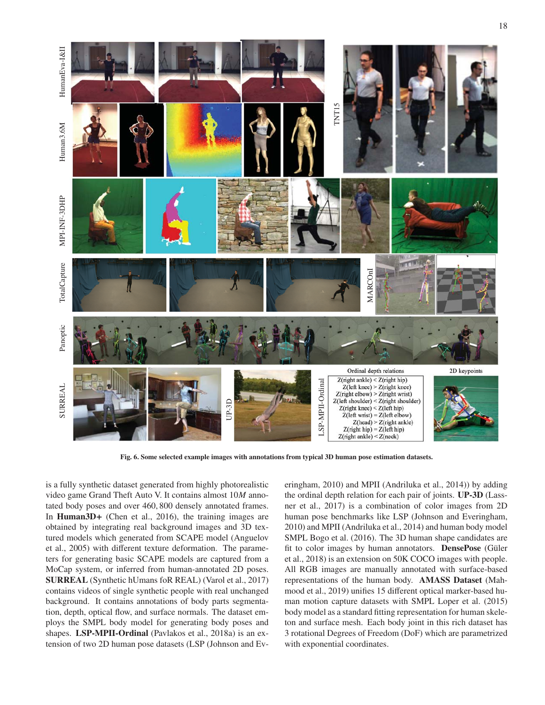

Fig. 6. Some selected example images with annotations from typical 3D human pose estimation datasets.

is a fully synthetic dataset generated from highly photorealistic video game Grand Theft Auto V. It contains almost 10*M* annotated body poses and over 460, 800 densely annotated frames. In Human3D+ (Chen et al., 2016), the training images are obtained by integrating real background images and 3D textured models which generated from SCAPE model (Anguelov et al., 2005) with different texture deformation. The parameters for generating basic SCAPE models are captured from a MoCap system, or inferred from human-annotated 2D poses. SURREAL (Synthetic hUmans foR REAL) (Varol et al., 2017) contains videos of single synthetic people with real unchanged background. It contains annotations of body parts segmentation, depth, optical flow, and surface normals. The dataset employs the SMPL body model for generating body poses and shapes. LSP-MPII-Ordinal (Pavlakos et al., 2018a) is an extension of two 2D human pose datasets (LSP (Johnson and Ev-

eringham, 2010) and MPII (Andriluka et al., 2014)) by adding the ordinal depth relation for each pair of joints. UP-3D (Lassner et al., 2017) is a combination of color images from 2D human pose benchmarks like LSP (Johnson and Everingham, 2010) and MPII (Andriluka et al., 2014) and human body model SMPL Bogo et al. (2016). The 3D human shape candidates are fit to color images by human annotators. DensePose (Güler et al., 2018) is an extension on 50K COCO images with people. All RGB images are manually annotated with surface-based representations of the human body. AMASS Dataset (Mahmood et al., 2019) unifies 15 different optical marker-based human motion capture datasets with SMPL Loper et al. (2015) body model as a standard fitting representation for human skeleton and surface mesh. Each body joint in this rich dataset has 3 rotational Degrees of Freedom (DoF) which are parametrized with exponential coordinates.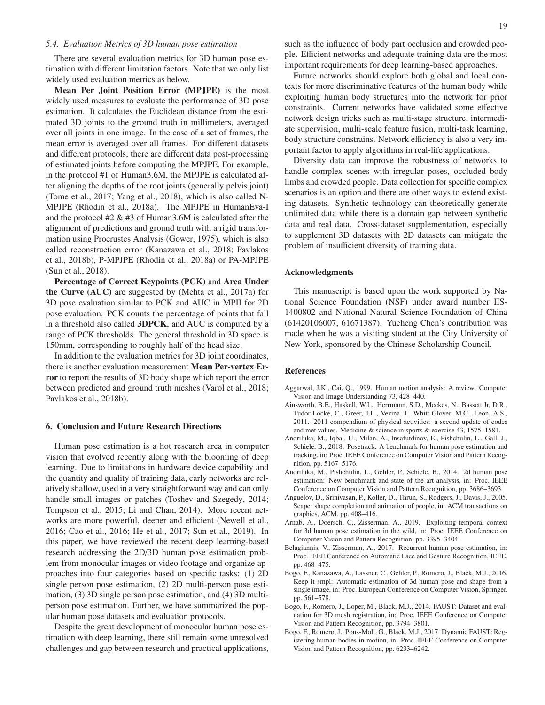### *5.4. Evaluation Metrics of 3D human pose estimation*

There are several evaluation metrics for 3D human pose estimation with different limitation factors. Note that we only list widely used evaluation metrics as below.

Mean Per Joint Position Error (MPJPE) is the most widely used measures to evaluate the performance of 3D pose estimation. It calculates the Euclidean distance from the estimated 3D joints to the ground truth in millimeters, averaged over all joints in one image. In the case of a set of frames, the mean error is averaged over all frames. For different datasets and different protocols, there are different data post-processing of estimated joints before computing the MPJPE. For example, in the protocol #1 of Human3.6M, the MPJPE is calculated after aligning the depths of the root joints (generally pelvis joint) (Tome et al., 2017; Yang et al., 2018), which is also called N-MPJPE (Rhodin et al., 2018a). The MPJPE in HumanEva-I and the protocol #2 & #3 of Human3.6M is calculated after the alignment of predictions and ground truth with a rigid transformation using Procrustes Analysis (Gower, 1975), which is also called reconstruction error (Kanazawa et al., 2018; Pavlakos et al., 2018b), P-MPJPE (Rhodin et al., 2018a) or PA-MPJPE (Sun et al., 2018).

Percentage of Correct Keypoints (PCK) and Area Under the Curve (AUC) are suggested by (Mehta et al., 2017a) for 3D pose evaluation similar to PCK and AUC in MPII for 2D pose evaluation. PCK counts the percentage of points that fall in a threshold also called 3DPCK, and AUC is computed by a range of PCK thresholds. The general threshold in 3D space is 150mm, corresponding to roughly half of the head size.

In addition to the evaluation metrics for 3D joint coordinates, there is another evaluation measurement Mean Per-vertex Error to report the results of 3D body shape which report the error between predicted and ground truth meshes (Varol et al., 2018; Pavlakos et al., 2018b).

## 6. Conclusion and Future Research Directions

Human pose estimation is a hot research area in computer vision that evolved recently along with the blooming of deep learning. Due to limitations in hardware device capability and the quantity and quality of training data, early networks are relatively shallow, used in a very straightforward way and can only handle small images or patches (Toshev and Szegedy, 2014; Tompson et al., 2015; Li and Chan, 2014). More recent networks are more powerful, deeper and efficient (Newell et al., 2016; Cao et al., 2016; He et al., 2017; Sun et al., 2019). In this paper, we have reviewed the recent deep learning-based research addressing the 2D/3D human pose estimation problem from monocular images or video footage and organize approaches into four categories based on specific tasks: (1) 2D single person pose estimation, (2) 2D multi-person pose estimation, (3) 3D single person pose estimation, and (4) 3D multiperson pose estimation. Further, we have summarized the popular human pose datasets and evaluation protocols.

Despite the great development of monocular human pose estimation with deep learning, there still remain some unresolved challenges and gap between research and practical applications,

such as the influence of body part occlusion and crowded people. Efficient networks and adequate training data are the most important requirements for deep learning-based approaches.

Future networks should explore both global and local contexts for more discriminative features of the human body while exploiting human body structures into the network for prior constraints. Current networks have validated some effective network design tricks such as multi-stage structure, intermediate supervision, multi-scale feature fusion, multi-task learning, body structure constrains. Network efficiency is also a very important factor to apply algorithms in real-life applications.

Diversity data can improve the robustness of networks to handle complex scenes with irregular poses, occluded body limbs and crowded people. Data collection for specific complex scenarios is an option and there are other ways to extend existing datasets. Synthetic technology can theoretically generate unlimited data while there is a domain gap between synthetic data and real data. Cross-dataset supplementation, especially to supplement 3D datasets with 2D datasets can mitigate the problem of insufficient diversity of training data.

### Acknowledgments

This manuscript is based upon the work supported by National Science Foundation (NSF) under award number IIS-1400802 and National Natural Science Foundation of China (61420106007, 61671387). Yucheng Chen's contribution was made when he was a visiting student at the City University of New York, sponsored by the Chinese Scholarship Council.

## References

- Aggarwal, J.K., Cai, Q., 1999. Human motion analysis: A review. Computer Vision and Image Understanding 73, 428–440.
- Ainsworth, B.E., Haskell, W.L., Herrmann, S.D., Meckes, N., Bassett Jr, D.R., Tudor-Locke, C., Greer, J.L., Vezina, J., Whitt-Glover, M.C., Leon, A.S., 2011. 2011 compendium of physical activities: a second update of codes and met values. Medicine & science in sports & exercise 43, 1575–1581.
- Andriluka, M., Iqbal, U., Milan, A., Insafutdinov, E., Pishchulin, L., Gall, J., Schiele, B., 2018. Posetrack: A benchmark for human pose estimation and tracking, in: Proc. IEEE Conference on Computer Vision and Pattern Recognition, pp. 5167–5176.
- Andriluka, M., Pishchulin, L., Gehler, P., Schiele, B., 2014. 2d human pose estimation: New benchmark and state of the art analysis, in: Proc. IEEE Conference on Computer Vision and Pattern Recognition, pp. 3686–3693.
- Anguelov, D., Srinivasan, P., Koller, D., Thrun, S., Rodgers, J., Davis, J., 2005. Scape: shape completion and animation of people, in: ACM transactions on graphics, ACM. pp. 408–416.
- Arnab, A., Doersch, C., Zisserman, A., 2019. Exploiting temporal context for 3d human pose estimation in the wild, in: Proc. IEEE Conference on Computer Vision and Pattern Recognition, pp. 3395–3404.
- Belagiannis, V., Zisserman, A., 2017. Recurrent human pose estimation, in: Proc. IEEE Conference on Automatic Face and Gesture Recognition, IEEE. pp. 468–475.
- Bogo, F., Kanazawa, A., Lassner, C., Gehler, P., Romero, J., Black, M.J., 2016. Keep it smpl: Automatic estimation of 3d human pose and shape from a single image, in: Proc. European Conference on Computer Vision, Springer. pp. 561–578.
- Bogo, F., Romero, J., Loper, M., Black, M.J., 2014. FAUST: Dataset and evaluation for 3D mesh registration, in: Proc. IEEE Conference on Computer Vision and Pattern Recognition, pp. 3794–3801.
- Bogo, F., Romero, J., Pons-Moll, G., Black, M.J., 2017. Dynamic FAUST: Registering human bodies in motion, in: Proc. IEEE Conference on Computer Vision and Pattern Recognition, pp. 6233–6242.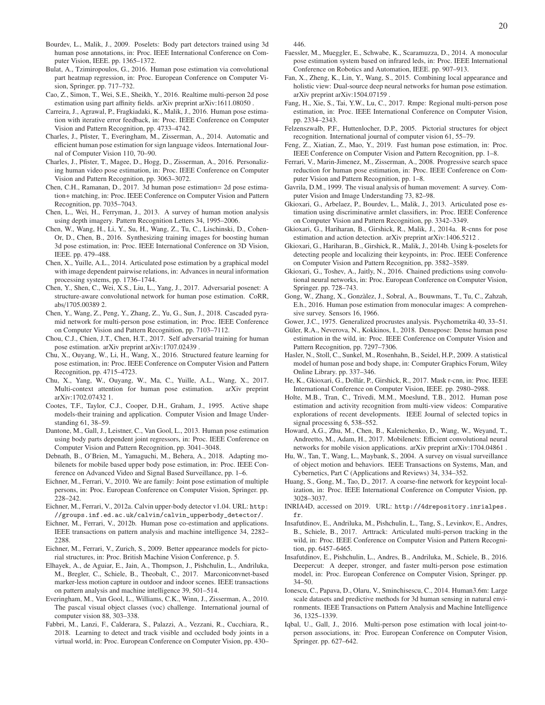- Bourdev, L., Malik, J., 2009. Poselets: Body part detectors trained using 3d human pose annotations, in: Proc. IEEE International Conference on Computer Vision, IEEE. pp. 1365–1372.
- Bulat, A., Tzimiropoulos, G., 2016. Human pose estimation via convolutional part heatmap regression, in: Proc. European Conference on Computer Vision, Springer. pp. 717–732.
- Cao, Z., Simon, T., Wei, S.E., Sheikh, Y., 2016. Realtime multi-person 2d pose estimation using part affinity fields. arXiv preprint arXiv:1611.08050 .
- Carreira, J., Agrawal, P., Fragkiadaki, K., Malik, J., 2016. Human pose estimation with iterative error feedback, in: Proc. IEEE Conference on Computer Vision and Pattern Recognition, pp. 4733–4742.
- Charles, J., Pfister, T., Everingham, M., Zisserman, A., 2014. Automatic and efficient human pose estimation for sign language videos. International Journal of Computer Vision 110, 70–90.
- Charles, J., Pfister, T., Magee, D., Hogg, D., Zisserman, A., 2016. Personalizing human video pose estimation, in: Proc. IEEE Conference on Computer Vision and Pattern Recognition, pp. 3063–3072.
- Chen, C.H., Ramanan, D., 2017. 3d human pose estimation= 2d pose estimation+ matching, in: Proc. IEEE Conference on Computer Vision and Pattern Recognition, pp. 7035–7043.
- Chen, L., Wei, H., Ferryman, J., 2013. A survey of human motion analysis using depth imagery. Pattern Recognition Letters 34, 1995–2006.
- Chen, W., Wang, H., Li, Y., Su, H., Wang, Z., Tu, C., Lischinski, D., Cohen-Or, D., Chen, B., 2016. Synthesizing training images for boosting human 3d pose estimation, in: Proc. IEEE International Conference on 3D Vision, IEEE. pp. 479–488.
- Chen, X., Yuille, A.L., 2014. Articulated pose estimation by a graphical model with image dependent pairwise relations, in: Advances in neural information processing systems, pp. 1736–1744.
- Chen, Y., Shen, C., Wei, X.S., Liu, L., Yang, J., 2017. Adversarial posenet: A structure-aware convolutional network for human pose estimation. CoRR, abs/1705.00389 2.
- Chen, Y., Wang, Z., Peng, Y., Zhang, Z., Yu, G., Sun, J., 2018. Cascaded pyramid network for multi-person pose estimation, in: Proc. IEEE Conference on Computer Vision and Pattern Recognition, pp. 7103–7112.
- Chou, C.J., Chien, J.T., Chen, H.T., 2017. Self adversarial training for human pose estimation. arXiv preprint arXiv:1707.02439 .
- Chu, X., Ouyang, W., Li, H., Wang, X., 2016. Structured feature learning for pose estimation, in: Proc. IEEE Conference on Computer Vision and Pattern Recognition, pp. 4715–4723.
- Chu, X., Yang, W., Ouyang, W., Ma, C., Yuille, A.L., Wang, X., 2017. Multi-context attention for human pose estimation. arXiv preprint arXiv:1702.07432 1.
- Cootes, T.F., Taylor, C.J., Cooper, D.H., Graham, J., 1995. Active shape models-their training and application. Computer Vision and Image Understanding 61, 38–59.
- Dantone, M., Gall, J., Leistner, C., Van Gool, L., 2013. Human pose estimation using body parts dependent joint regressors, in: Proc. IEEE Conference on Computer Vision and Pattern Recognition, pp. 3041–3048.
- Debnath, B., O'Brien, M., Yamaguchi, M., Behera, A., 2018. Adapting mobilenets for mobile based upper body pose estimation, in: Proc. IEEE Conference on Advanced Video and Signal Based Surveillance, pp. 1–6.
- Eichner, M., Ferrari, V., 2010. We are family: Joint pose estimation of multiple persons, in: Proc. European Conference on Computer Vision, Springer. pp. 228–242.
- Eichner, M., Ferrari, V., 2012a. Calvin upper-body detector v1.04. URL: http: //groups.inf.ed.ac.uk/calvin/calvin\_upperbody\_detector/.
- Eichner, M., Ferrari, V., 2012b. Human pose co-estimation and applications. IEEE transactions on pattern analysis and machine intelligence 34, 2282– 2288.
- Eichner, M., Ferrari, V., Zurich, S., 2009. Better appearance models for pictorial structures, in: Proc. British Machine Vision Conference, p. 5.
- Elhayek, A., de Aguiar, E., Jain, A., Thompson, J., Pishchulin, L., Andriluka, M., Bregler, C., Schiele, B., Theobalt, C., 2017. Marconiconvnet-based marker-less motion capture in outdoor and indoor scenes. IEEE transactions on pattern analysis and machine intelligence 39, 501–514.
- Everingham, M., Van Gool, L., Williams, C.K., Winn, J., Zisserman, A., 2010. The pascal visual object classes (voc) challenge. International journal of computer vision 88, 303–338.
- Fabbri, M., Lanzi, F., Calderara, S., Palazzi, A., Vezzani, R., Cucchiara, R., 2018. Learning to detect and track visible and occluded body joints in a virtual world, in: Proc. European Conference on Computer Vision, pp. 430–

446.

- Faessler, M., Mueggler, E., Schwabe, K., Scaramuzza, D., 2014. A monocular pose estimation system based on infrared leds, in: Proc. IEEE International Conference on Robotics and Automation, IEEE. pp. 907–913.
- Fan, X., Zheng, K., Lin, Y., Wang, S., 2015. Combining local appearance and holistic view: Dual-source deep neural networks for human pose estimation. arXiv preprint arXiv:1504.07159 .
- Fang, H., Xie, S., Tai, Y.W., Lu, C., 2017. Rmpe: Regional multi-person pose estimation, in: Proc. IEEE International Conference on Computer Vision, pp. 2334–2343.
- Felzenszwalb, P.F., Huttenlocher, D.P., 2005. Pictorial structures for object recognition. International journal of computer vision 61, 55–79.
- Feng, Z., Xiatian, Z., Mao, Y., 2019. Fast human pose estimation, in: Proc. IEEE Conference on Computer Vision and Pattern Recognition, pp. 1–8.
- Ferrari, V., Marin-Jimenez, M., Zisserman, A., 2008. Progressive search space reduction for human pose estimation, in: Proc. IEEE Conference on Computer Vision and Pattern Recognition, pp. 1–8.
- Gavrila, D.M., 1999. The visual analysis of human movement: A survey. Computer Vision and Image Understanding 73, 82–98.
- Gkioxari, G., Arbelaez, P., Bourdev, L., Malik, J., 2013. Articulated pose estimation using discriminative armlet classifiers, in: Proc. IEEE Conference on Computer Vision and Pattern Recognition, pp. 3342–3349.
- Gkioxari, G., Hariharan, B., Girshick, R., Malik, J., 2014a. R-cnns for pose estimation and action detection. arXiv preprint arXiv:1406.5212 .
- Gkioxari, G., Hariharan, B., Girshick, R., Malik, J., 2014b. Using k-poselets for detecting people and localizing their keypoints, in: Proc. IEEE Conference on Computer Vision and Pattern Recognition, pp. 3582–3589.
- Gkioxari, G., Toshev, A., Jaitly, N., 2016. Chained predictions using convolutional neural networks, in: Proc. European Conference on Computer Vision, Springer. pp. 728–743.
- Gong, W., Zhang, X., Gonzalez, J., Sobral, A., Bouwmans, T., Tu, C., Zahzah, ` E.h., 2016. Human pose estimation from monocular images: A comprehensive survey. Sensors 16, 1966.
- Gower, J.C., 1975. Generalized procrustes analysis. Psychometrika 40, 33–51.

Güler, R.A., Neverova, N., Kokkinos, I., 2018. Densepose: Dense human pose estimation in the wild, in: Proc. IEEE Conference on Computer Vision and Pattern Recognition, pp. 7297–7306.

- Hasler, N., Stoll, C., Sunkel, M., Rosenhahn, B., Seidel, H.P., 2009. A statistical model of human pose and body shape, in: Computer Graphics Forum, Wiley Online Library. pp. 337–346.
- He, K., Gkioxari, G., Dollár, P., Girshick, R., 2017. Mask r-cnn, in: Proc. IEEE International Conference on Computer Vision, IEEE. pp. 2980–2988.
- Holte, M.B., Tran, C., Trivedi, M.M., Moeslund, T.B., 2012. Human pose estimation and activity recognition from multi-view videos: Comparative explorations of recent developments. IEEE Journal of selected topics in signal processing 6, 538–552.
- Howard, A.G., Zhu, M., Chen, B., Kalenichenko, D., Wang, W., Weyand, T., Andreetto, M., Adam, H., 2017. Mobilenets: Efficient convolutional neural networks for mobile vision applications. arXiv preprint arXiv:1704.04861 .
- Hu, W., Tan, T., Wang, L., Maybank, S., 2004. A survey on visual surveillance of object motion and behaviors. IEEE Transactions on Systems, Man, and Cybernetics, Part C (Applications and Reviews) 34, 334–352.
- Huang, S., Gong, M., Tao, D., 2017. A coarse-fine network for keypoint localization, in: Proc. IEEE International Conference on Computer Vision, pp. 3028–3037.
- INRIA4D, accessed on 2019. URL: http://4drepository.inrialpes. fr.
- Insafutdinov, E., Andriluka, M., Pishchulin, L., Tang, S., Levinkov, E., Andres, B., Schiele, B., 2017. Arttrack: Articulated multi-person tracking in the wild, in: Proc. IEEE Conference on Computer Vision and Pattern Recognition, pp. 6457–6465.
- Insafutdinov, E., Pishchulin, L., Andres, B., Andriluka, M., Schiele, B., 2016. Deepercut: A deeper, stronger, and faster multi-person pose estimation model, in: Proc. European Conference on Computer Vision, Springer. pp. 34–50.
- Ionescu, C., Papava, D., Olaru, V., Sminchisescu, C., 2014. Human3.6m: Large scale datasets and predictive methods for 3d human sensing in natural environments. IEEE Transactions on Pattern Analysis and Machine Intelligence 36, 1325–1339.
- Iqbal, U., Gall, J., 2016. Multi-person pose estimation with local joint-toperson associations, in: Proc. European Conference on Computer Vision, Springer. pp. 627–642.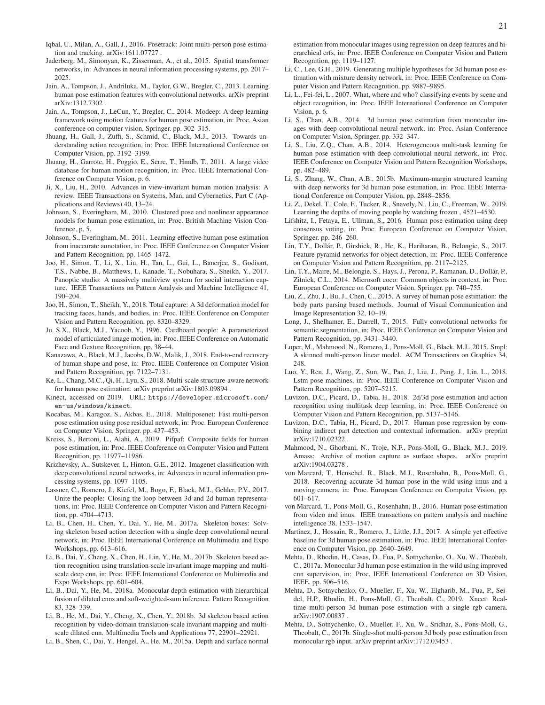- Iqbal, U., Milan, A., Gall, J., 2016. Posetrack: Joint multi-person pose estimation and tracking. arXiv:1611.07727 .
- Jaderberg, M., Simonyan, K., Zisserman, A., et al., 2015. Spatial transformer networks, in: Advances in neural information processing systems, pp. 2017– 2025.
- Jain, A., Tompson, J., Andriluka, M., Taylor, G.W., Bregler, C., 2013. Learning human pose estimation features with convolutional networks. arXiv preprint arXiv:1312.7302 .
- Jain, A., Tompson, J., LeCun, Y., Bregler, C., 2014. Modeep: A deep learning framework using motion features for human pose estimation, in: Proc. Asian conference on computer vision, Springer. pp. 302–315.
- Jhuang, H., Gall, J., Zuffi, S., Schmid, C., Black, M.J., 2013. Towards understanding action recognition, in: Proc. IEEE International Conference on Computer Vision, pp. 3192–3199.
- Jhuang, H., Garrote, H., Poggio, E., Serre, T., Hmdb, T., 2011. A large video database for human motion recognition, in: Proc. IEEE International Conference on Computer Vision, p. 6.
- Ji, X., Liu, H., 2010. Advances in view-invariant human motion analysis: A review. IEEE Transactions on Systems, Man, and Cybernetics, Part C (Applications and Reviews) 40, 13–24.
- Johnson, S., Everingham, M., 2010. Clustered pose and nonlinear appearance models for human pose estimation, in: Proc. British Machine Vision Conference, p. 5.
- Johnson, S., Everingham, M., 2011. Learning effective human pose estimation from inaccurate annotation, in: Proc. IEEE Conference on Computer Vision and Pattern Recognition, pp. 1465–1472.
- Joo, H., Simon, T., Li, X., Liu, H., Tan, L., Gui, L., Banerjee, S., Godisart, T.S., Nabbe, B., Matthews, I., Kanade, T., Nobuhara, S., Sheikh, Y., 2017. Panoptic studio: A massively multiview system for social interaction capture. IEEE Transactions on Pattern Analysis and Machine Intelligence 41, 190–204.
- Joo, H., Simon, T., Sheikh, Y., 2018. Total capture: A 3d deformation model for tracking faces, hands, and bodies, in: Proc. IEEE Conference on Computer Vision and Pattern Recognition, pp. 8320–8329.
- Ju, S.X., Black, M.J., Yacoob, Y., 1996. Cardboard people: A parameterized model of articulated image motion, in: Proc. IEEE Conference on Automatic Face and Gesture Recognition, pp. 38–44.
- Kanazawa, A., Black, M.J., Jacobs, D.W., Malik, J., 2018. End-to-end recovery of human shape and pose, in: Proc. IEEE Conference on Computer Vision and Pattern Recognition, pp. 7122–7131.
- Ke, L., Chang, M.C., Qi, H., Lyu, S., 2018. Multi-scale structure-aware network for human pose estimation. arXiv preprint arXiv:1803.09894 .
- Kinect, accessed on 2019. URL: https://developer.microsoft.com/ en-us/windows/kinect.
- Kocabas, M., Karagoz, S., Akbas, E., 2018. Multiposenet: Fast multi-person pose estimation using pose residual network, in: Proc. European Conference on Computer Vision, Springer. pp. 437–453.
- Kreiss, S., Bertoni, L., Alahi, A., 2019. Pifpaf: Composite fields for human pose estimation, in: Proc. IEEE Conference on Computer Vision and Pattern Recognition, pp. 11977–11986.
- Krizhevsky, A., Sutskever, I., Hinton, G.E., 2012. Imagenet classification with deep convolutional neural networks, in: Advances in neural information processing systems, pp. 1097–1105.
- Lassner, C., Romero, J., Kiefel, M., Bogo, F., Black, M.J., Gehler, P.V., 2017. Unite the people: Closing the loop between 3d and 2d human representations, in: Proc. IEEE Conference on Computer Vision and Pattern Recognition, pp. 4704–4713.
- Li, B., Chen, H., Chen, Y., Dai, Y., He, M., 2017a. Skeleton boxes: Solving skeleton based action detection with a single deep convolutional neural network, in: Proc. IEEE International Conference on Multimedia and Expo Workshops, pp. 613–616.
- Li, B., Dai, Y., Cheng, X., Chen, H., Lin, Y., He, M., 2017b. Skeleton based action recognition using translation-scale invariant image mapping and multiscale deep cnn, in: Proc. IEEE International Conference on Multimedia and Expo Workshops, pp. 601–604.
- Li, B., Dai, Y., He, M., 2018a. Monocular depth estimation with hierarchical fusion of dilated cnns and soft-weighted-sum inference. Pattern Recognition 83, 328–339.
- Li, B., He, M., Dai, Y., Cheng, X., Chen, Y., 2018b. 3d skeleton based action recognition by video-domain translation-scale invariant mapping and multiscale dilated cnn. Multimedia Tools and Applications 77, 22901–22921.
- Li, B., Shen, C., Dai, Y., Hengel, A., He, M., 2015a. Depth and surface normal

estimation from monocular images using regression on deep features and hierarchical crfs, in: Proc. IEEE Conference on Computer Vision and Pattern Recognition, pp. 1119–1127.

- Li, C., Lee, G.H., 2019. Generating multiple hypotheses for 3d human pose estimation with mixture density network, in: Proc. IEEE Conference on Computer Vision and Pattern Recognition, pp. 9887–9895.
- Li, L., Fei-fei, L., 2007. What, where and who? classifying events by scene and object recognition, in: Proc. IEEE International Conference on Computer Vision, p. 6.
- Li, S., Chan, A.B., 2014. 3d human pose estimation from monocular images with deep convolutional neural network, in: Proc. Asian Conference on Computer Vision, Springer. pp. 332–347.
- Li, S., Liu, Z.Q., Chan, A.B., 2014. Heterogeneous multi-task learning for human pose estimation with deep convolutional neural network, in: Proc. IEEE Conference on Computer Vision and Pattern Recognition Workshops, pp. 482–489.
- Li, S., Zhang, W., Chan, A.B., 2015b. Maximum-margin structured learning with deep networks for 3d human pose estimation, in: Proc. IEEE International Conference on Computer Vision, pp. 2848–2856.
- Li, Z., Dekel, T., Cole, F., Tucker, R., Snavely, N., Liu, C., Freeman, W., 2019. Learning the depths of moving people by watching frozen , 4521–4530.
- Lifshitz, I., Fetaya, E., Ullman, S., 2016. Human pose estimation using deep consensus voting, in: Proc. European Conference on Computer Vision, Springer. pp. 246–260.
- Lin, T.Y., Dollár, P., Girshick, R., He, K., Hariharan, B., Belongie, S., 2017. Feature pyramid networks for object detection, in: Proc. IEEE Conference on Computer Vision and Pattern Recognition, pp. 2117–2125.
- Lin, T.Y., Maire, M., Belongie, S., Hays, J., Perona, P., Ramanan, D., Dollár, P., Zitnick, C.L., 2014. Microsoft coco: Common objects in context, in: Proc. European Conference on Computer Vision, Springer. pp. 740–755.
- Liu, Z., Zhu, J., Bu, J., Chen, C., 2015. A survey of human pose estimation: the body parts parsing based methods. Journal of Visual Communication and Image Representation 32, 10–19.
- Long, J., Shelhamer, E., Darrell, T., 2015. Fully convolutional networks for semantic segmentation, in: Proc. IEEE Conference on Computer Vision and Pattern Recognition, pp. 3431–3440.
- Loper, M., Mahmood, N., Romero, J., Pons-Moll, G., Black, M.J., 2015. Smpl: A skinned multi-person linear model. ACM Transactions on Graphics 34, 248.
- Luo, Y., Ren, J., Wang, Z., Sun, W., Pan, J., Liu, J., Pang, J., Lin, L., 2018. Lstm pose machines, in: Proc. IEEE Conference on Computer Vision and Pattern Recognition, pp. 5207–5215.
- Luvizon, D.C., Picard, D., Tabia, H., 2018. 2d/3d pose estimation and action recognition using multitask deep learning, in: Proc. IEEE Conference on Computer Vision and Pattern Recognition, pp. 5137–5146.
- Luvizon, D.C., Tabia, H., Picard, D., 2017. Human pose regression by combining indirect part detection and contextual information. arXiv preprint arXiv:1710.02322 .
- Mahmood, N., Ghorbani, N., Troje, N.F., Pons-Moll, G., Black, M.J., 2019. Amass: Archive of motion capture as surface shapes. arXiv preprint arXiv:1904.03278 .
- von Marcard, T., Henschel, R., Black, M.J., Rosenhahn, B., Pons-Moll, G., 2018. Recovering accurate 3d human pose in the wild using imus and a moving camera, in: Proc. European Conference on Computer Vision, pp. 601–617.
- von Marcard, T., Pons-Moll, G., Rosenhahn, B., 2016. Human pose estimation from video and imus. IEEE transactions on pattern analysis and machine intelligence 38, 1533–1547.
- Martinez, J., Hossain, R., Romero, J., Little, J.J., 2017. A simple yet effective baseline for 3d human pose estimation, in: Proc. IEEE International Conference on Computer Vision, pp. 2640–2649.
- Mehta, D., Rhodin, H., Casas, D., Fua, P., Sotnychenko, O., Xu, W., Theobalt, C., 2017a. Monocular 3d human pose estimation in the wild using improved cnn supervision, in: Proc. IEEE International Conference on 3D Vision, IEEE. pp. 506–516.
- Mehta, D., Sotnychenko, O., Mueller, F., Xu, W., Elgharib, M., Fua, P., Seidel, H.P., Rhodin, H., Pons-Moll, G., Theobalt, C., 2019. Xnect: Realtime multi-person 3d human pose estimation with a single rgb camera. arXiv:1907.00837 .
- Mehta, D., Sotnychenko, O., Mueller, F., Xu, W., Sridhar, S., Pons-Moll, G., Theobalt, C., 2017b. Single-shot multi-person 3d body pose estimation from monocular rgb input. arXiv preprint arXiv:1712.03453 .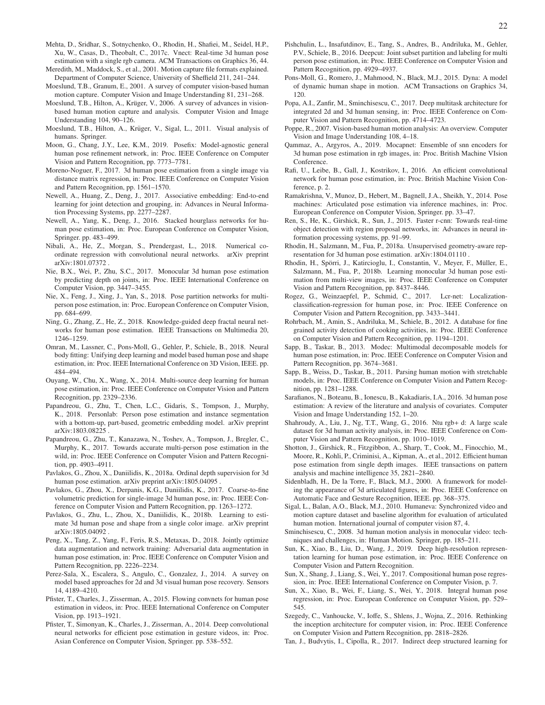- Mehta, D., Sridhar, S., Sotnychenko, O., Rhodin, H., Shafiei, M., Seidel, H.P., Xu, W., Casas, D., Theobalt, C., 2017c. Vnect: Real-time 3d human pose estimation with a single rgb camera. ACM Transactions on Graphics 36, 44.
- Meredith, M., Maddock, S., et al., 2001. Motion capture file formats explained. Department of Computer Science, University of Sheffield 211, 241–244.
- Moeslund, T.B., Granum, E., 2001. A survey of computer vision-based human motion capture. Computer Vision and Image Understanding 81, 231–268.
- Moeslund, T.B., Hilton, A., Krüger, V., 2006. A survey of advances in visionbased human motion capture and analysis. Computer Vision and Image Understanding 104, 90–126.
- Moeslund, T.B., Hilton, A., Krüger, V., Sigal, L., 2011. Visual analysis of humans. Springer.
- Moon, G., Chang, J.Y., Lee, K.M., 2019. Posefix: Model-agnostic general human pose refinement network, in: Proc. IEEE Conference on Computer Vision and Pattern Recognition, pp. 7773–7781.
- Moreno-Noguer, F., 2017. 3d human pose estimation from a single image via distance matrix regression, in: Proc. IEEE Conference on Computer Vision and Pattern Recognition, pp. 1561–1570.
- Newell, A., Huang, Z., Deng, J., 2017. Associative embedding: End-to-end learning for joint detection and grouping, in: Advances in Neural Information Processing Systems, pp. 2277–2287.
- Newell, A., Yang, K., Deng, J., 2016. Stacked hourglass networks for human pose estimation, in: Proc. European Conference on Computer Vision, Springer. pp. 483–499.
- Nibali, A., He, Z., Morgan, S., Prendergast, L., 2018. Numerical coordinate regression with convolutional neural networks. arXiv preprint arXiv:1801.07372 .
- Nie, B.X., Wei, P., Zhu, S.C., 2017. Monocular 3d human pose estimation by predicting depth on joints, in: Proc. IEEE International Conference on Computer Vision, pp. 3447–3455.
- Nie, X., Feng, J., Xing, J., Yan, S., 2018. Pose partition networks for multiperson pose estimation, in: Proc. European Conference on Computer Vision, pp. 684–699.
- Ning, G., Zhang, Z., He, Z., 2018. Knowledge-guided deep fractal neural networks for human pose estimation. IEEE Transactions on Multimedia 20, 1246–1259.
- Omran, M., Lassner, C., Pons-Moll, G., Gehler, P., Schiele, B., 2018. Neural body fitting: Unifying deep learning and model based human pose and shape estimation, in: Proc. IEEE International Conference on 3D Vision, IEEE. pp. 484–494.
- Ouyang, W., Chu, X., Wang, X., 2014. Multi-source deep learning for human pose estimation, in: Proc. IEEE Conference on Computer Vision and Pattern Recognition, pp. 2329–2336.
- Papandreou, G., Zhu, T., Chen, L.C., Gidaris, S., Tompson, J., Murphy, K., 2018. Personlab: Person pose estimation and instance segmentation with a bottom-up, part-based, geometric embedding model. arXiv preprint arXiv:1803.08225 .
- Papandreou, G., Zhu, T., Kanazawa, N., Toshev, A., Tompson, J., Bregler, C., Murphy, K., 2017. Towards accurate multi-person pose estimation in the wild, in: Proc. IEEE Conference on Computer Vision and Pattern Recognition, pp. 4903–4911.
- Pavlakos, G., Zhou, X., Daniilidis, K., 2018a. Ordinal depth supervision for 3d human pose estimation. arXiv preprint arXiv:1805.04095.
- Pavlakos, G., Zhou, X., Derpanis, K.G., Daniilidis, K., 2017. Coarse-to-fine volumetric prediction for single-image 3d human pose, in: Proc. IEEE Conference on Computer Vision and Pattern Recognition, pp. 1263–1272.
- Pavlakos, G., Zhu, L., Zhou, X., Daniilidis, K., 2018b. Learning to estimate 3d human pose and shape from a single color image. arXiv preprint arXiv:1805.04092 .
- Peng, X., Tang, Z., Yang, F., Feris, R.S., Metaxas, D., 2018. Jointly optimize data augmentation and network training: Adversarial data augmentation in human pose estimation, in: Proc. IEEE Conference on Computer Vision and Pattern Recognition, pp. 2226–2234.
- Perez-Sala, X., Escalera, S., Angulo, C., Gonzalez, J., 2014. A survey on model based approaches for 2d and 3d visual human pose recovery. Sensors 14, 4189–4210.
- Pfister, T., Charles, J., Zisserman, A., 2015. Flowing convnets for human pose estimation in videos, in: Proc. IEEE International Conference on Computer Vision, pp. 1913–1921.
- Pfister, T., Simonyan, K., Charles, J., Zisserman, A., 2014. Deep convolutional neural networks for efficient pose estimation in gesture videos, in: Proc. Asian Conference on Computer Vision, Springer. pp. 538–552.
- Pishchulin, L., Insafutdinov, E., Tang, S., Andres, B., Andriluka, M., Gehler, P.V., Schiele, B., 2016. Deepcut: Joint subset partition and labeling for multi person pose estimation, in: Proc. IEEE Conference on Computer Vision and Pattern Recognition, pp. 4929–4937.
- Pons-Moll, G., Romero, J., Mahmood, N., Black, M.J., 2015. Dyna: A model of dynamic human shape in motion. ACM Transactions on Graphics 34, 120.
- Popa, A.I., Zanfir, M., Sminchisescu, C., 2017. Deep multitask architecture for integrated 2d and 3d human sensing, in: Proc. IEEE Conference on Computer Vision and Pattern Recognition, pp. 4714–4723.
- Poppe, R., 2007. Vision-based human motion analysis: An overview. Computer Vision and Image Understanding 108, 4–18.
- Qammaz, A., Argyros, A., 2019. Mocapnet: Ensemble of snn encoders for 3d human pose estimation in rgb images, in: Proc. British Machine VIsion Conference.
- Rafi, U., Leibe, B., Gall, J., Kostrikov, I., 2016. An efficient convolutional network for human pose estimation, in: Proc. British Machine Vision Conference, p. 2.
- Ramakrishna, V., Munoz, D., Hebert, M., Bagnell, J.A., Sheikh, Y., 2014. Pose machines: Articulated pose estimation via inference machines, in: Proc. European Conference on Computer Vision, Springer. pp. 33–47.
- Ren, S., He, K., Girshick, R., Sun, J., 2015. Faster r-cnn: Towards real-time object detection with region proposal networks, in: Advances in neural information processing systems, pp. 91–99.
- Rhodin, H., Salzmann, M., Fua, P., 2018a. Unsupervised geometry-aware representation for 3d human pose estimation. arXiv:1804.01110 .
- Rhodin, H., Spörri, J., Katircioglu, I., Constantin, V., Meyer, F., Müller, E., Salzmann, M., Fua, P., 2018b. Learning monocular 3d human pose estimation from multi-view images, in: Proc. IEEE Conference on Computer Vision and Pattern Recognition, pp. 8437–8446.
- Rogez, G., Weinzaepfel, P., Schmid, C., 2017. Lcr-net: Localizationclassification-regression for human pose, in: Proc. IEEE Conference on Computer Vision and Pattern Recognition, pp. 3433–3441.
- Rohrbach, M., Amin, S., Andriluka, M., Schiele, B., 2012. A database for fine grained activity detection of cooking activities, in: Proc. IEEE Conference on Computer Vision and Pattern Recognition, pp. 1194–1201.
- Sapp, B., Taskar, B., 2013. Modec: Multimodal decomposable models for human pose estimation, in: Proc. IEEE Conference on Computer Vision and Pattern Recognition, pp. 3674–3681.
- Sapp, B., Weiss, D., Taskar, B., 2011. Parsing human motion with stretchable models, in: Proc. IEEE Conference on Computer Vision and Pattern Recognition, pp. 1281–1288.
- Sarafianos, N., Boteanu, B., Ionescu, B., Kakadiaris, I.A., 2016. 3d human pose estimation: A review of the literature and analysis of covariates. Computer Vision and Image Understanding 152, 1–20.
- Shahroudy, A., Liu, J., Ng, T.T., Wang, G., 2016. Ntu rgb+ d: A large scale dataset for 3d human activity analysis, in: Proc. IEEE Conference on Computer Vision and Pattern Recognition, pp. 1010–1019.
- Shotton, J., Girshick, R., Fitzgibbon, A., Sharp, T., Cook, M., Finocchio, M., Moore, R., Kohli, P., Criminisi, A., Kipman, A., et al., 2012. Efficient human pose estimation from single depth images. IEEE transactions on pattern analysis and machine intelligence 35, 2821–2840.
- Sidenbladh, H., De la Torre, F., Black, M.J., 2000. A framework for modeling the appearance of 3d articulated figures, in: Proc. IEEE Conference on Automatic Face and Gesture Recognition, IEEE. pp. 368–375.
- Sigal, L., Balan, A.O., Black, M.J., 2010. Humaneva: Synchronized video and motion capture dataset and baseline algorithm for evaluation of articulated human motion. International journal of computer vision 87, 4.
- Sminchisescu, C., 2008. 3d human motion analysis in monocular video: techniques and challenges, in: Human Motion. Springer, pp. 185–211.
- Sun, K., Xiao, B., Liu, D., Wang, J., 2019. Deep high-resolution representation learning for human pose estimation, in: Proc. IEEE Conference on Computer Vision and Pattern Recognition.
- Sun, X., Shang, J., Liang, S., Wei, Y., 2017. Compositional human pose regression, in: Proc. IEEE International Conference on Computer Vision, p. 7.
- Sun, X., Xiao, B., Wei, F., Liang, S., Wei, Y., 2018. Integral human pose regression, in: Proc. European Conference on Computer Vision, pp. 529– 545.
- Szegedy, C., Vanhoucke, V., Ioffe, S., Shlens, J., Wojna, Z., 2016. Rethinking the inception architecture for computer vision, in: Proc. IEEE Conference on Computer Vision and Pattern Recognition, pp. 2818–2826.
- Tan, J., Budvytis, I., Cipolla, R., 2017. Indirect deep structured learning for